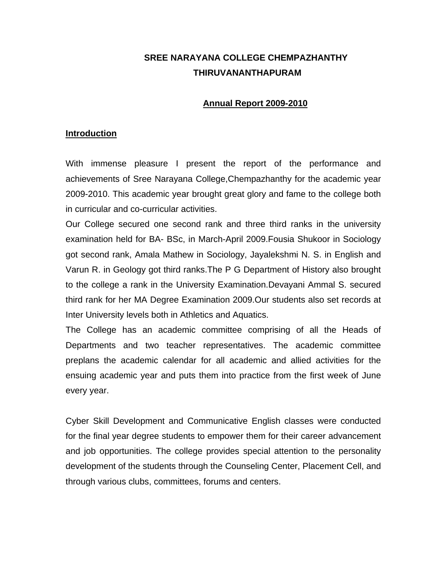# **SREE NARAYANA COLLEGE CHEMPAZHANTHY THIRUVANANTHAPURAM**

#### **Annual Report 2009-2010**

#### **Introduction**

With immense pleasure I present the report of the performance and achievements of Sree Narayana College,Chempazhanthy for the academic year 2009-2010. This academic year brought great glory and fame to the college both in curricular and co-curricular activities.

Our College secured one second rank and three third ranks in the university examination held for BA- BSc, in March-April 2009.Fousia Shukoor in Sociology got second rank, Amala Mathew in Sociology, Jayalekshmi N. S. in English and Varun R. in Geology got third ranks.The P G Department of History also brought to the college a rank in the University Examination.Devayani Ammal S. secured third rank for her MA Degree Examination 2009.Our students also set records at Inter University levels both in Athletics and Aquatics.

The College has an academic committee comprising of all the Heads of Departments and two teacher representatives. The academic committee preplans the academic calendar for all academic and allied activities for the ensuing academic year and puts them into practice from the first week of June every year.

Cyber Skill Development and Communicative English classes were conducted for the final year degree students to empower them for their career advancement and job opportunities. The college provides special attention to the personality development of the students through the Counseling Center, Placement Cell, and through various clubs, committees, forums and centers.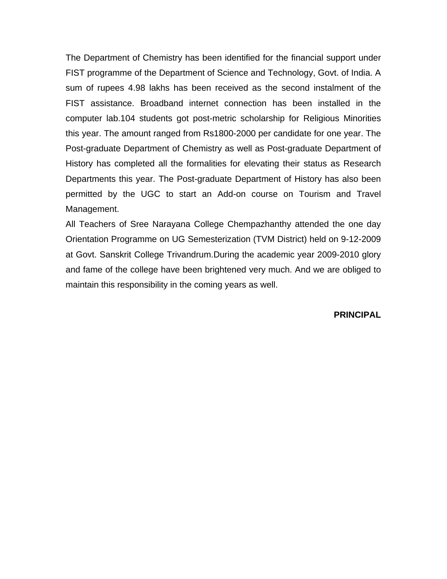The Department of Chemistry has been identified for the financial support under FIST programme of the Department of Science and Technology, Govt. of India. A sum of rupees 4.98 lakhs has been received as the second instalment of the FIST assistance. Broadband internet connection has been installed in the computer lab.104 students got post-metric scholarship for Religious Minorities this year. The amount ranged from Rs1800-2000 per candidate for one year. The Post-graduate Department of Chemistry as well as Post-graduate Department of History has completed all the formalities for elevating their status as Research Departments this year. The Post-graduate Department of History has also been permitted by the UGC to start an Add-on course on Tourism and Travel Management.

All Teachers of Sree Narayana College Chempazhanthy attended the one day Orientation Programme on UG Semesterization (TVM District) held on 9-12-2009 at Govt. Sanskrit College Trivandrum.During the academic year 2009-2010 glory and fame of the college have been brightened very much. And we are obliged to maintain this responsibility in the coming years as well.

**PRINCIPAL**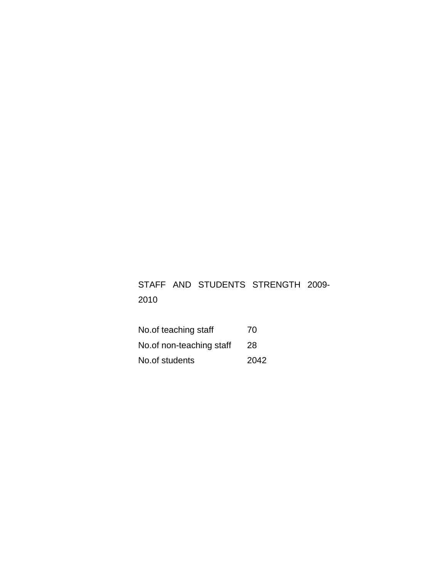# STAFF AND STUDENTS STRENGTH 2009- 2010

| No.of teaching staff     | 70   |
|--------------------------|------|
| No.of non-teaching staff | 28   |
| No.of students           | 2042 |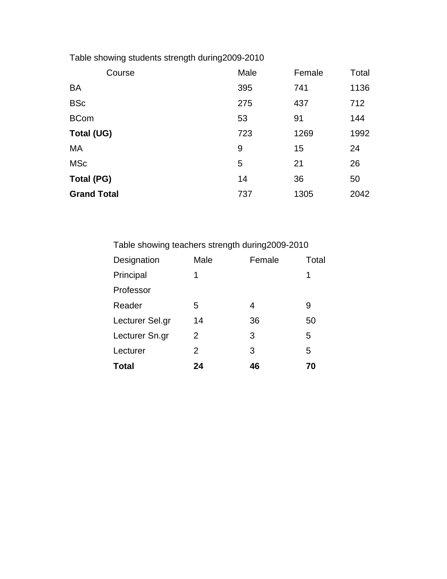Table showing students strength during2009-2010

| Course             | Male | Female | Total |
|--------------------|------|--------|-------|
| <b>BA</b>          | 395  | 741    | 1136  |
| <b>BSc</b>         | 275  | 437    | 712   |
| <b>BCom</b>        | 53   | 91     | 144   |
| Total (UG)         | 723  | 1269   | 1992  |
| MA                 | 9    | 15     | 24    |
| <b>MSc</b>         | 5    | 21     | 26    |
| Total (PG)         | 14   | 36     | 50    |
| <b>Grand Total</b> | 737  | 1305   | 2042  |

| Total                                            | 24            | 46     | 70    |  |
|--------------------------------------------------|---------------|--------|-------|--|
| Lecturer                                         | $\mathcal{P}$ | 3      | 5     |  |
| Lecturer Sn.gr                                   | 2             | 3      | 5     |  |
| Lecturer Sel.gr                                  | 14            | 36     | 50    |  |
| Reader                                           | 5             | 4      | 9     |  |
| Professor                                        |               |        |       |  |
| Principal                                        | 1             |        |       |  |
| Designation                                      | Male          | Female | Total |  |
| Table showing teachers strength during 2009-2010 |               |        |       |  |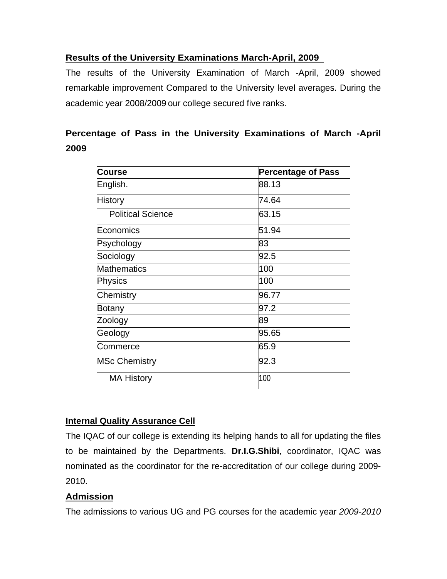# **Results of the University Examinations March-April, 2009**

The results of the University Examination of March -April, 2009 showed remarkable improvement Compared to the University level averages. During the academic year 2008/2009 our college secured five ranks.

# **Percentage of Pass in the University Examinations of March -April 2009**

| <b>Course</b>            | <b>Percentage of Pass</b> |
|--------------------------|---------------------------|
| English.                 | 88.13                     |
| <b>History</b>           | 74.64                     |
| <b>Political Science</b> | 63.15                     |
| Economics                | 51.94                     |
| Psychology               | 83                        |
| Sociology                | 92.5                      |
| <b>Mathematics</b>       | 100                       |
| Physics                  | 100                       |
| Chemistry                | 96.77                     |
| Botany                   | 97.2                      |
| Zoology                  | 89                        |
| Geology                  | 95.65                     |
| Commerce                 | 65.9                      |
| <b>MSc Chemistry</b>     | 92.3                      |
| <b>MA History</b>        | 100                       |

### **Internal Quality Assurance Cell**

The IQAC of our college is extending its helping hands to all for updating the files to be maintained by the Departments. **Dr.I.G.Shibi**, coordinator, IQAC was nominated as the coordinator for the re-accreditation of our college during 2009- 2010.

# **Admission**

The admissions to various UG and PG courses for the academic year *2009-2010*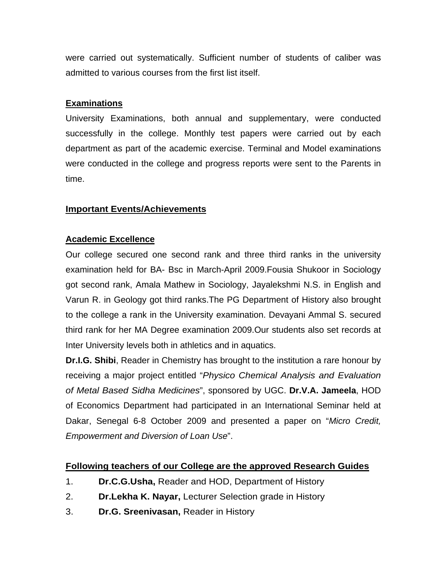were carried out systematically. Sufficient number of students of caliber was admitted to various courses from the first list itself.

### **Examinations**

University Examinations, both annual and supplementary, were conducted successfully in the college. Monthly test papers were carried out by each department as part of the academic exercise. Terminal and Model examinations were conducted in the college and progress reports were sent to the Parents in time.

#### **Important Events/Achievements**

#### **Academic Excellence**

Our college secured one second rank and three third ranks in the university examination held for BA- Bsc in March-April 2009.Fousia Shukoor in Sociology got second rank, Amala Mathew in Sociology, Jayalekshmi N.S. in English and Varun R. in Geology got third ranks.The PG Department of History also brought to the college a rank in the University examination. Devayani Ammal S. secured third rank for her MA Degree examination 2009.Our students also set records at Inter University levels both in athletics and in aquatics.

**Dr.I.G. Shibi**, Reader in Chemistry has brought to the institution a rare honour by receiving a major project entitled "*Physico Chemical Analysis and Evaluation of Metal Based Sidha Medicines*", sponsored by UGC. **Dr.V.A. Jameela**, HOD of Economics Department had participated in an International Seminar held at Dakar, Senegal 6-8 October 2009 and presented a paper on "*Micro Credit, Empowerment and Diversion of Loan Use*".

### **Following teachers of our College are the approved Research Guides**

- 1. **Dr.C.G.Usha,** Reader and HOD, Department of History
- 2. **Dr.Lekha K. Nayar,** Lecturer Selection grade in History
- 3. **Dr.G. Sreenivasan,** Reader in History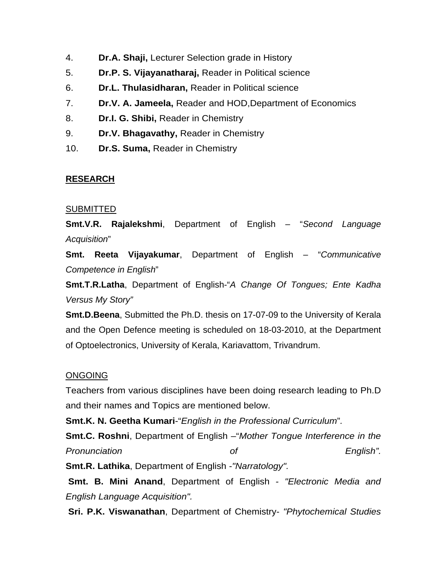- 4. **Dr.A. Shaji,** Lecturer Selection grade in History
- 5. **Dr.P. S. Vijayanatharaj,** Reader in Political science
- 6. **Dr.L. Thulasidharan,** Reader in Political science
- 7. **Dr.V. A. Jameela,** Reader and HOD,Department of Economics
- 8. **Dr.I. G. Shibi,** Reader in Chemistry
- 9. **Dr.V. Bhagavathy,** Reader in Chemistry
- 10. **Dr.S. Suma,** Reader in Chemistry

# **RESEARCH**

# **SUBMITTED**

**Smt.V.R. Rajalekshmi**, Department of English – "*Second Language Acquisition*"

**Smt. Reeta Vijayakumar**, Department of English – "*Communicative Competence in English*"

**Smt.T.R.Latha**, Department of English-"*A Change Of Tongues; Ente Kadha Versus My Story"* 

**Smt.D.Beena**, Submitted the Ph.D. thesis on 17-07-09 to the University of Kerala and the Open Defence meeting is scheduled on 18-03-2010, at the Department of Optoelectronics, University of Kerala, Kariavattom, Trivandrum.

# ONGOING

Teachers from various disciplines have been doing research leading to Ph.D and their names and Topics are mentioned below.

**Smt.K. N. Geetha Kumari**-"*English in the Professional Curriculum*"*.*

**Smt.C. Roshni**, Department of English –"*Mother Tongue Interference in the Pronunciation of English".* 

**Smt.R. Lathika**, Department of English *-"Narratology".*

 **Smt. B. Mini Anand**, Department of English *- "Electronic Media and English Language Acquisition".* 

**Sri. P.K. Viswanathan**, Department of Chemistry- *"Phytochemical Studies*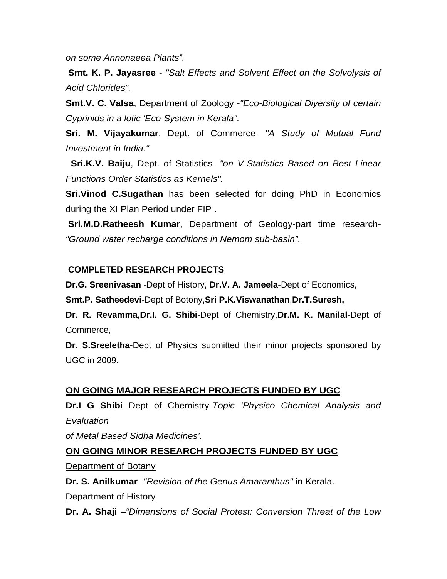*on some Annonaeea Plants".* 

**Smt. K. P. Jayasree** - *"Salt Effects and Solvent Effect on the Solvolysis of Acid Chlorides".* 

**Smt.V. C. Valsa**, Department of Zoology *-"Eco-Biological Diyersity of certain Cyprinids in a lotic 'Eco-System in Kerala".* 

**Sri. M. Vijayakumar**, Dept. of Commerce- *"A Study of Mutual Fund Investment in India."* 

 **Sri.K.V. Baiju**, Dept. of Statistics*- "on V-Statistics Based on Best Linear Functions Order Statistics as Kernels".*

**Sri.Vinod C.Sugathan** has been selected for doing PhD in Economics during the XI Plan Period under FIP .

 **Sri.M.D.Ratheesh Kumar**, Department of Geology-part time research*- "Ground water recharge conditions in Nemom sub-basin".* 

#### **COMPLETED RESEARCH PROJECTS**

**Dr.G. Sreenivasan** -Dept of History, **Dr.V. A. Jameela**-Dept of Economics,

**Smt.P. Satheedevi**-Dept of Botony,**Sri P.K.Viswanathan**,**Dr.T.Suresh,** 

**Dr. R. Revamma,Dr.I. G. Shibi**-Dept of Chemistry,**Dr.M. K. Manilal**-Dept of Commerce,

**Dr. S.Sreeletha**-Dept of Physics submitted their minor projects sponsored by UGC in 2009.

### **ON GOING MAJOR RESEARCH PROJECTS FUNDED BY UGC**

**Dr.I G Shibi** Dept of Chemistry-*Topic 'Physico Chemical Analysis and Evaluation* 

*of Metal Based Sidha Medicines'.* 

### **ON GOING MINOR RESEARCH PROJECTS FUNDED BY UGC**

Department of Botany

**Dr. S. Anilkumar** *-"Revision of the Genus Amaranthus"* in Kerala.

Department of History

**Dr. A. Shaji** *–"Dimensions of Social Protest: Conversion Threat of the Low*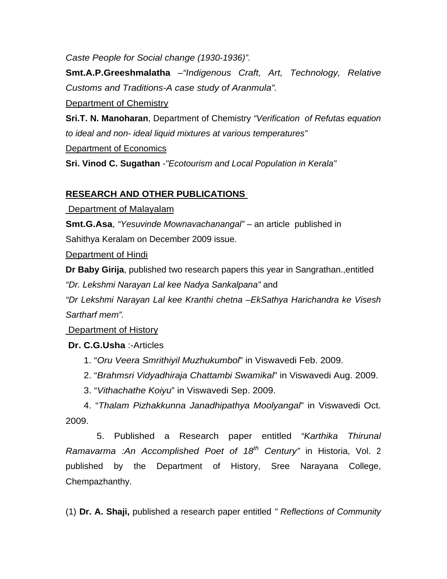*Caste People for Social change (1930-1936)".* 

**Smt.A.P.Greeshmalatha** *–"Indigenous Craft, Art, Technology, Relative Customs and Traditions-A case study of Aranmula".*

Department of Chemistry

**Sri.T. N. Manoharan**, Department of Chemistry *"Verification of Refutas equation to ideal and non- ideal liquid mixtures at various temperatures"*

Department of Economics

**Sri. Vinod C. Sugathan** *-"Ecotourism and Local Population in Kerala"* 

# **RESEARCH AND OTHER PUBLICATIONS**

Department of Malayalam

**Smt.G.Asa**, *"Yesuvinde Mownavachanangal"* – an article published in Sahithya Keralam on December 2009 issue.

Department of Hindi

**Dr Baby Girija**, published two research papers this year in Sangrathan.,entitled

*"Dr. Lekshmi Narayan Lal kee Nadya Sankalpana"* and

*"Dr Lekshmi Narayan Lal kee Kranthi chetna –EkSathya Harichandra ke Visesh Sartharf mem".*

Department of History

# **Dr. C.G.Usha** :-Articles

- 1. "*Oru Veera Smrithiyil Muzhukumbol*" in Viswavedi Feb. 2009.
- 2. "*Brahmsri Vidyadhiraja Chattambi Swamikal*" in Viswavedi Aug. 2009.
- 3. "*Vithachathe Koiyu*" in Viswavedi Sep. 2009.

 4. "*Thalam Pizhakkunna Janadhipathya Moolyangal*" in Viswavedi Oct. 2009.

 5. Published a Research paper entitled *"Karthika Thirunal Ramavarma :An Accomplished Poet of 18th Century"* in Historia, Vol. 2 published by the Department of History, Sree Narayana College, Chempazhanthy.

(1) **Dr. A. Shaji,** published a research paper entitled *" Reflections of Community*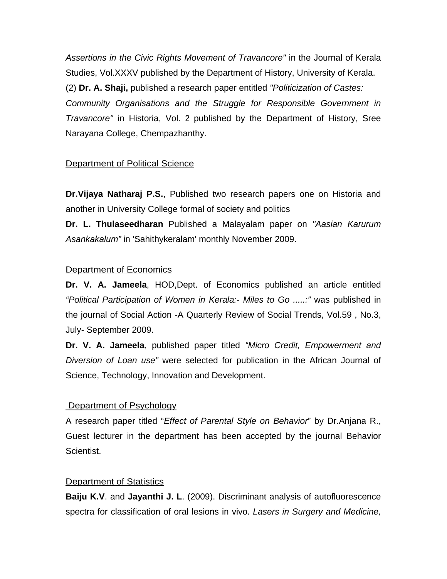*Assertions in the Civic Rights Movement of Travancore"* in the Journal of Kerala Studies, Vol.XXXV published by the Department of History, University of Kerala. (2) **Dr. A. Shaji,** published a research paper entitled *"Politicization of Castes: Community Organisations and the Struggle for Responsible Government in Travancore"* in Historia, Vol. 2 published by the Department of History, Sree Narayana College, Chempazhanthy.

# **Department of Political Science**

**Dr.Vijaya Natharaj P.S.**, Published two research papers one on Historia and another in University College formal of society and politics

**Dr. L. Thulaseedharan** Published a Malayalam paper on *"Aasian Karurum Asankakalum"* in 'Sahithykeralam' monthly November 2009.

### Department of Economics

**Dr. V. A. Jameela**, HOD,Dept. of Economics published an article entitled *"Political Participation of Women in Kerala:- Miles to Go .....:"* was published in the journal of Social Action -A Quarterly Review of Social Trends, Vol.59 , No.3, July- September 2009.

**Dr. V. A. Jameela**, published paper titled *"Micro Credit, Empowerment and Diversion of Loan use"* were selected for publication in the African Journal of Science, Technology, Innovation and Development.

### Department of Psychology

A research paper titled "*Effect of Parental Style on Behavior*" by Dr.Anjana R., Guest lecturer in the department has been accepted by the journal Behavior Scientist.

### **Department of Statistics**

**Baiju K.V**. and **Jayanthi J. L**. (2009). Discriminant analysis of autofluorescence spectra for classification of oral lesions in vivo. *Lasers in Surgery and Medicine,*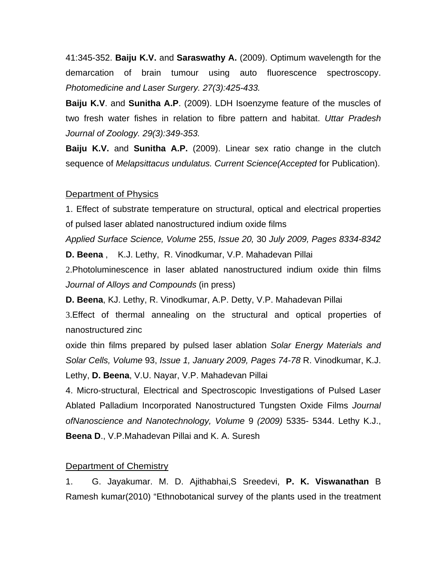41:345-352. **Baiju K.V.** and **Saraswathy A.** (2009). Optimum wavelength for the demarcation of brain tumour using auto fluorescence spectroscopy. *Photomedicine and Laser Surgery. 27(3):425-433.* 

**Baiju K.V**. and **Sunitha A.P**. (2009). LDH Isoenzyme feature of the muscles of two fresh water fishes in relation to fibre pattern and habitat. *Uttar Pradesh Journal of Zoology. 29(3):349-353.* 

**Baiju K.V.** and **Sunitha A.P.** (2009). Linear sex ratio change in the clutch sequence of *Melapsittacus undulatus. Current Science(Accepted* for Publication).

#### Department of Physics

1. Effect of substrate temperature on structural, optical and electrical properties of pulsed laser ablated nanostructured indium oxide films

*Applied Surface Science, Volume* 255, *Issue 20,* 30 *July 2009, Pages 8334-8342*  **D. Beena** , K.J. Lethy, R. Vinodkumar, V.P. Mahadevan Pillai

2.Photoluminescence in laser ablated nanostructured indium oxide thin films *Journal of Alloys and Compounds* (in press)

**D. Beena**, KJ. Lethy, R. Vinodkumar, A.P. Detty, V.P. Mahadevan Pillai

3.Effect of thermal annealing on the structural and optical properties of nanostructured zinc

oxide thin films prepared by pulsed laser ablation *Solar Energy Materials and Solar Cells, Volume* 93, *Issue 1, January 2009, Pages 74-78* R. Vinodkumar, K.J. Lethy, **D. Beena**, V.U. Nayar, V.P. Mahadevan Pillai

4. Micro-structural, Electrical and Spectroscopic Investigations of Pulsed Laser Ablated Palladium Incorporated Nanostructured Tungsten Oxide Films *Journal ofNanoscience and Nanotechnology, Volume* 9 *(2009)* 5335- 5344. Lethy K.J., **Beena D**., V.P.Mahadevan Pillai and K. A. Suresh

#### Department of Chemistry

1. G. Jayakumar. M. D. Ajithabhai,S Sreedevi, **P. K. Viswanathan** B Ramesh kumar(2010) "Ethnobotanical survey of the plants used in the treatment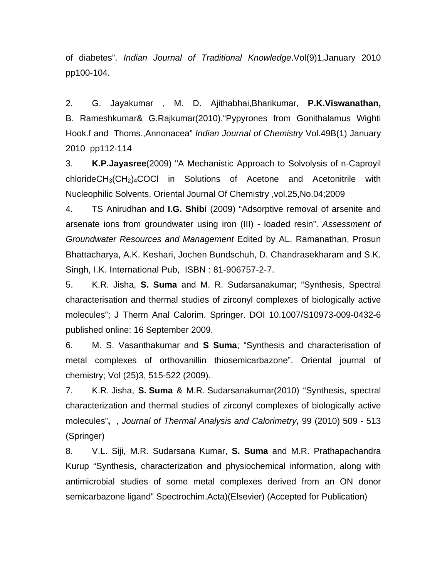of diabetes". *Indian Journal of Traditional Knowledge*.Vol(9)1,January 2010 pp100-104.

2. G. Jayakumar , M. D. Ajithabhai,Bharikumar, **P.K.Viswanathan,** B. Rameshkumar& G.Rajkumar(2010)."Pypyrones from Gonithalamus Wighti Hook.f and Thoms.,Annonacea" *Indian Journal of Chemistry* Vol.49B(1) January 2010 pp112-114

3. **K.P.Jayasree**(2009) "A Mechanistic Approach to Solvolysis of n-Caproyil  $chlorideCH<sub>3</sub>(CH<sub>2</sub>)<sub>4</sub>COCl$  in Solutions of Acetone and Acetonitrile with Nucleophilic Solvents. Oriental Journal Of Chemistry ,vol.25,No.04;2009

4. TS Anirudhan and **I.G. Shibi** (2009) "Adsorptive removal of arsenite and arsenate ions from groundwater using iron (III) - loaded resin". *Assessment of Groundwater Resources and Management* Edited by AL. Ramanathan, Prosun Bhattacharya, A.K. Keshari, Jochen Bundschuh, D. Chandrasekharam and S.K. Singh, I.K. International Pub, ISBN : 81-906757-2-7.

5. K.R. Jisha, **S. Suma** and M. R. Sudarsanakumar; "Synthesis, Spectral characterisation and thermal studies of zirconyl complexes of biologically active molecules"; J Therm Anal Calorim. Springer. DOI 10.1007/S10973-009-0432-6 published online: 16 September 2009.

6. M. S. Vasanthakumar and **S Suma**; "Synthesis and characterisation of metal complexes of orthovanillin thiosemicarbazone". Oriental journal of chemistry; Vol (25)3, 515-522 (2009).

7. K.R. Jisha, **S. Suma** & M.R. Sudarsanakumar(2010) "Synthesis, spectral characterization and thermal studies of zirconyl complexes of biologically active molecules"**,** , *Journal of Thermal Analysis and Calorimetry***,** 99 (2010) 509 - 513 (Springer)

8. V.L. Siji, M.R. Sudarsana Kumar, **S. Suma** and M.R. Prathapachandra Kurup "Synthesis, characterization and physiochemical information, along with antimicrobial studies of some metal complexes derived from an ON donor semicarbazone ligand" Spectrochim.Acta)(Elsevier) (Accepted for Publication)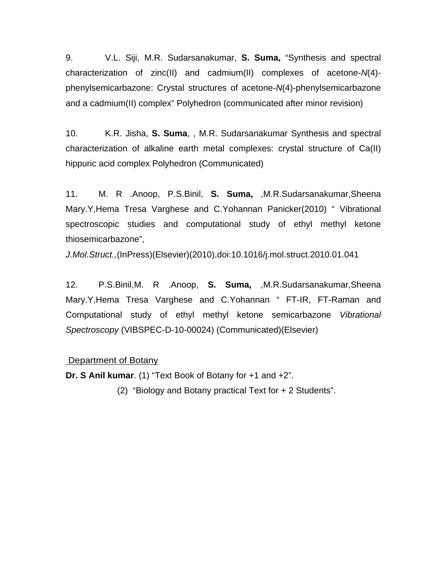9. V.L. Siji, M.R. Sudarsanakumar, **S. Suma,** "Synthesis and spectral characterization of zinc(II) and cadmium(II) complexes of acetone-*N*(4) phenylsemicarbazone: Crystal structures of acetone-*N*(4)-phenylsemicarbazone and a cadmium(II) complex" Polyhedron (communicated after minor revision)

10. K.R. Jisha, **S. Suma**, , M.R. Sudarsanakumar Synthesis and spectral characterization of alkaline earth metal complexes: crystal structure of Ca(II) hippuric acid complex Polyhedron (Communicated)

11. M. R .Anoop, P.S.Binil, **S. Suma,** ,M.R.Sudarsanakumar,Sheena Mary.Y,Hema Tresa Varghese and C.Yohannan Panicker(2010) " Vibrational spectroscopic studies and computational study of ethyl methyl ketone thiosemicarbazone",

*J.Mol.Struct.,*(InPress)(Elsevier)(2010),doi:10.1016/j.mol.struct.2010.01.041

12. P.S.Binil,M. R .Anoop, **S. Suma,** ,M.R.Sudarsanakumar,Sheena Mary.Y,Hema Tresa Varghese and C.Yohannan " FT-IR, FT-Raman and Computational study of ethyl methyl ketone semicarbazone *Vibrational Spectroscopy* (VIBSPEC-D-10-00024) (Communicated)(Elsevier)

#### Department of Botany

**Dr. S Anil kumar**. (1) "Text Book of Botany for +1 and +2".

(2) "Biology and Botany practical Text for + 2 Students".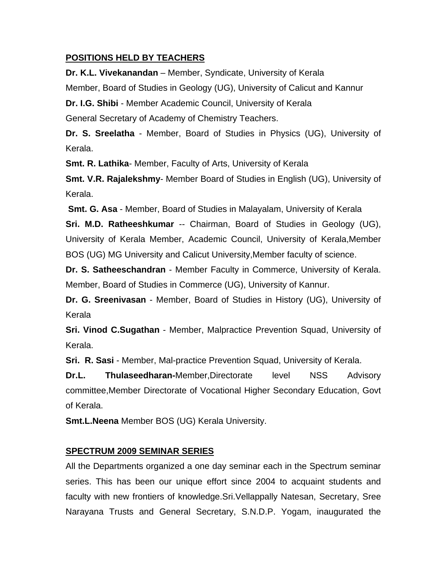#### **POSITIONS HELD BY TEACHERS**

**Dr. K.L. Vivekanandan** – Member, Syndicate, University of Kerala Member, Board of Studies in Geology (UG), University of Calicut and Kannur **Dr. I.G. Shibi** - Member Academic Council, University of Kerala General Secretary of Academy of Chemistry Teachers.

**Dr. S. Sreelatha** - Member, Board of Studies in Physics (UG), University of Kerala.

**Smt. R. Lathika**- Member, Faculty of Arts, University of Kerala

**Smt. V.R. Rajalekshmy**- Member Board of Studies in English (UG), University of Kerala.

 **Smt. G. Asa** - Member, Board of Studies in Malayalam, University of Kerala

**Sri. M.D. Ratheeshkumar** -- Chairman, Board of Studies in Geology (UG), University of Kerala Member, Academic Council, University of Kerala,Member BOS (UG) MG University and Calicut University,Member faculty of science.

**Dr. S. Satheeschandran** - Member Faculty in Commerce, University of Kerala. Member, Board of Studies in Commerce (UG), University of Kannur.

**Dr. G. Sreenivasan** - Member, Board of Studies in History (UG), University of Kerala

**Sri. Vinod C.Sugathan** - Member, Malpractice Prevention Squad, University of Kerala.

**Sri. R. Sasi** - Member, Mal-practice Prevention Squad, University of Kerala.

**Dr.L. Thulaseedharan-**Member,Directorate level NSS Advisory committee,Member Directorate of Vocational Higher Secondary Education, Govt of Kerala.

**Smt.L.Neena** Member BOS (UG) Kerala University.

# **SPECTRUM 2009 SEMINAR SERIES**

All the Departments organized a one day seminar each in the Spectrum seminar series. This has been our unique effort since 2004 to acquaint students and faculty with new frontiers of knowledge.Sri.Vellappally Natesan, Secretary, Sree Narayana Trusts and General Secretary, S.N.D.P. Yogam, inaugurated the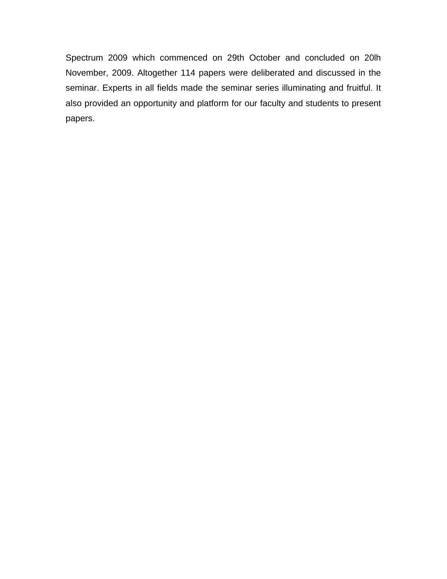Spectrum 2009 which commenced on 29th October and concluded on 20lh November, 2009. Altogether 114 papers were deliberated and discussed in the seminar. Experts in all fields made the seminar series illuminating and fruitful. It also provided an opportunity and platform for our faculty and students to present papers.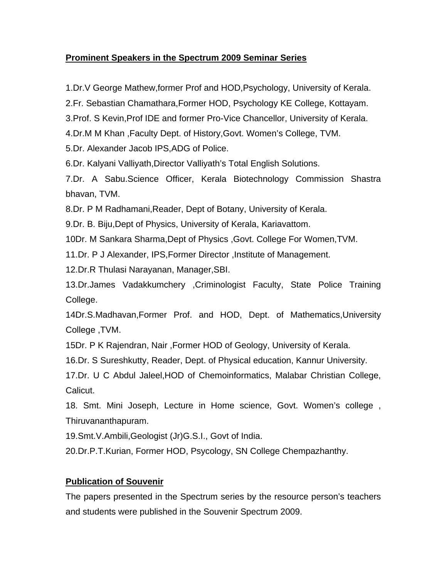### **Prominent Speakers in the Spectrum 2009 Seminar Series**

1.Dr.V George Mathew,former Prof and HOD,Psychology, University of Kerala.

2.Fr. Sebastian Chamathara,Former HOD, Psychology KE College, Kottayam.

3.Prof. S Kevin,Prof IDE and former Pro-Vice Chancellor, University of Kerala.

4.Dr.M M Khan ,Faculty Dept. of History,Govt. Women's College, TVM.

5.Dr. Alexander Jacob IPS,ADG of Police.

6.Dr. Kalyani Valliyath,Director Valliyath's Total English Solutions.

7.Dr. A Sabu.Science Officer, Kerala Biotechnology Commission Shastra bhavan, TVM.

8.Dr. P M Radhamani,Reader, Dept of Botany, University of Kerala.

9.Dr. B. Biju,Dept of Physics, University of Kerala, Kariavattom.

10Dr. M Sankara Sharma,Dept of Physics ,Govt. College For Women,TVM.

11.Dr. P J Alexander, IPS,Former Director ,Institute of Management.

12.Dr.R Thulasi Narayanan, Manager,SBI.

13.Dr.James Vadakkumchery ,Criminologist Faculty, State Police Training College.

14Dr.S.Madhavan,Former Prof. and HOD, Dept. of Mathematics,University College ,TVM.

15Dr. P K Rajendran, Nair ,Former HOD of Geology, University of Kerala.

16.Dr. S Sureshkutty, Reader, Dept. of Physical education, Kannur University.

17.Dr. U C Abdul Jaleel,HOD of Chemoinformatics, Malabar Christian College, Calicut.

18. Smt. Mini Joseph, Lecture in Home science, Govt. Women's college , Thiruvananthapuram.

19.Smt.V.Ambili,Geologist (Jr)G.S.I., Govt of India.

20.Dr.P.T.Kurian, Former HOD, Psycology, SN College Chempazhanthy.

# **Publication of Souvenir**

The papers presented in the Spectrum series by the resource person's teachers and students were published in the Souvenir Spectrum 2009.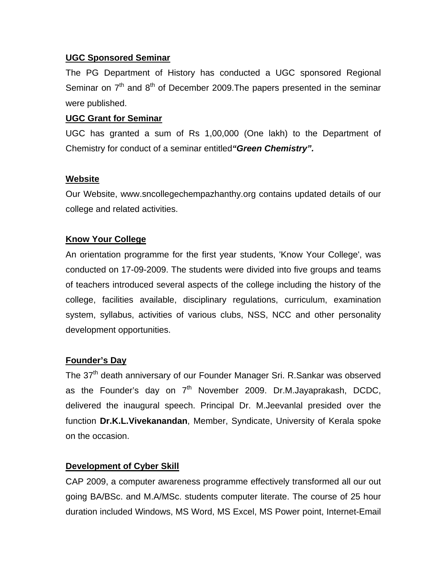#### **UGC Sponsored Seminar**

The PG Department of History has conducted a UGC sponsored Regional Seminar on  $7<sup>th</sup>$  and  $8<sup>th</sup>$  of December 2009. The papers presented in the seminar were published.

#### **UGC Grant for Seminar**

UGC has granted a sum of Rs 1,00,000 (One lakh) to the Department of Chemistry for conduct of a seminar entitled*"Green Chemistry".*

#### **Website**

Our Website, www.sncollegechempazhanthy.org contains updated details of our college and related activities.

### **Know Your College**

An orientation programme for the first year students, 'Know Your College', was conducted on 17-09-2009. The students were divided into five groups and teams of teachers introduced several aspects of the college including the history of the college, facilities available, disciplinary regulations, curriculum, examination system, syllabus, activities of various clubs, NSS, NCC and other personality development opportunities.

### **Founder's Day**

The 37<sup>th</sup> death anniversary of our Founder Manager Sri. R.Sankar was observed as the Founder's day on  $7<sup>th</sup>$  November 2009. Dr.M.Jayaprakash, DCDC, delivered the inaugural speech. Principal Dr. M.Jeevanlal presided over the function **Dr.K.L.Vivekanandan**, Member, Syndicate, University of Kerala spoke on the occasion.

### **Development of Cyber Skill**

CAP 2009, a computer awareness programme effectively transformed all our out going BA/BSc. and M.A/MSc. students computer literate. The course of 25 hour duration included Windows, MS Word, MS Excel, MS Power point, Internet-Email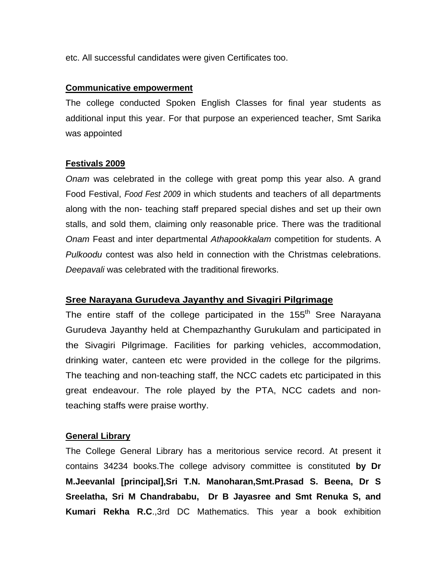etc. All successful candidates were given Certificates too.

#### **Communicative empowerment**

The college conducted Spoken English Classes for final year students as additional input this year. For that purpose an experienced teacher, Smt Sarika was appointed

#### **Festivals 2009**

*Onam* was celebrated in the college with great pomp this year also. A grand Food Festival, *Food Fest 2009* in which students and teachers of all departments along with the non- teaching staff prepared special dishes and set up their own stalls, and sold them, claiming only reasonable price. There was the traditional *Onam* Feast and inter departmental *Athapookkalam* competition for students. A *Pulkoodu* contest was also held in connection with the Christmas celebrations. *Deepavali* was celebrated with the traditional fireworks.

#### **Sree Narayana Gurudeva Jayanthy and Sivagiri Pilgrimage**

The entire staff of the college participated in the  $155<sup>th</sup>$  Sree Narayana Gurudeva Jayanthy held at Chempazhanthy Gurukulam and participated in the Sivagiri Pilgrimage. Facilities for parking vehicles, accommodation, drinking water, canteen etc were provided in the college for the pilgrims. The teaching and non-teaching staff, the NCC cadets etc participated in this great endeavour. The role played by the PTA, NCC cadets and nonteaching staffs were praise worthy.

#### **General Library**

The College General Library has a meritorious service record. At present it contains 34234 books.The college advisory committee is constituted **by Dr M.Jeevanlal [principal],Sri T.N. Manoharan,Smt.Prasad S. Beena, Dr S Sreelatha, Sri M Chandrababu, Dr B Jayasree and Smt Renuka S, and Kumari Rekha R.C**.,3rd DC Mathematics. This year a book exhibition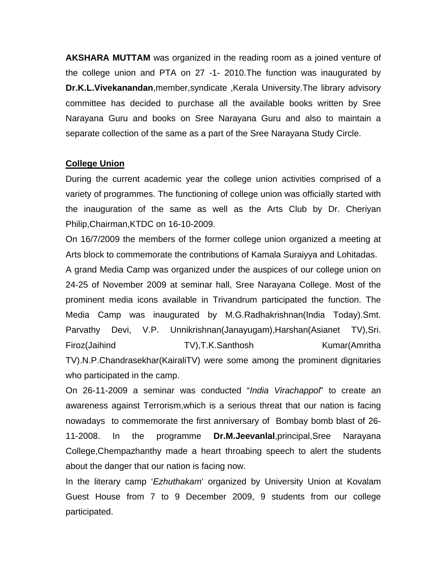**AKSHARA MUTTAM** was organized in the reading room as a joined venture of the college union and PTA on 27 -1- 2010.The function was inaugurated by **Dr.K.L.Vivekanandan**,member,syndicate ,Kerala University.The library advisory committee has decided to purchase all the available books written by Sree Narayana Guru and books on Sree Narayana Guru and also to maintain a separate collection of the same as a part of the Sree Narayana Study Circle.

#### **College Union**

During the current academic year the college union activities comprised of a variety of programmes. The functioning of college union was officially started with the inauguration of the same as well as the Arts Club by Dr. Cheriyan Philip,Chairman,KTDC on 16-10-2009.

On 16/7/2009 the members of the former college union organized a meeting at Arts block to commemorate the contributions of Kamala Suraiyya and Lohitadas.

A grand Media Camp was organized under the auspices of our college union on 24-25 of November 2009 at seminar hall, Sree Narayana College. Most of the prominent media icons available in Trivandrum participated the function. The Media Camp was inaugurated by M.G.Radhakrishnan(India Today).Smt. Parvathy Devi, V.P. Unnikrishnan(Janayugam),Harshan(Asianet TV),Sri. Firoz(Jaihind TV),T.K.Santhosh Kumar(Amritha TV).N.P.Chandrasekhar(KairaliTV) were some among the prominent dignitaries who participated in the camp.

On 26-11-2009 a seminar was conducted "*India Virachappol*" to create an awareness against Terrorism,which is a serious threat that our nation is facing nowadays to commemorate the first anniversary of Bombay bomb blast of 26- 11-2008. In the programme **Dr.M.Jeevanlal**,principal,Sree Narayana College,Chempazhanthy made a heart throabing speech to alert the students about the danger that our nation is facing now.

In the literary camp '*Ezhuthakam*' organized by University Union at Kovalam Guest House from 7 to 9 December 2009, 9 students from our college participated.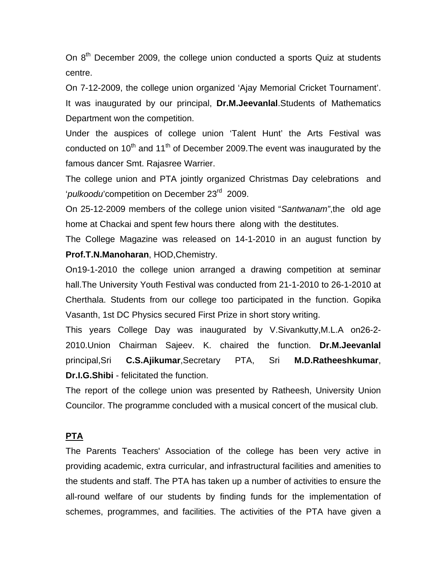On  $8<sup>th</sup>$  December 2009, the college union conducted a sports Quiz at students centre.

On 7-12-2009, the college union organized 'Ajay Memorial Cricket Tournament'. It was inaugurated by our principal, **Dr.M.Jeevanlal**.Students of Mathematics Department won the competition.

Under the auspices of college union 'Talent Hunt' the Arts Festival was conducted on 10<sup>th</sup> and 11<sup>th</sup> of December 2009. The event was inaugurated by the famous dancer Smt. Rajasree Warrier.

The college union and PTA jointly organized Christmas Day celebrations and '*pulkoodu*'competition on December 23rd 2009.

On 25-12-2009 members of the college union visited "*Santwanam"*,the old age home at Chackai and spent few hours there along with the destitutes.

The College Magazine was released on 14-1-2010 in an august function by **Prof.T.N.Manoharan**, HOD,Chemistry.

On19-1-2010 the college union arranged a drawing competition at seminar hall.The University Youth Festival was conducted from 21-1-2010 to 26-1-2010 at Cherthala. Students from our college too participated in the function. Gopika Vasanth, 1st DC Physics secured First Prize in short story writing.

This years College Day was inaugurated by V.Sivankutty,M.L.A on26-2- 2010.Union Chairman Sajeev. K. chaired the function. **Dr.M.Jeevanlal** principal,Sri **C.S.Ajikumar**,Secretary PTA, Sri **M.D.Ratheeshkumar**, **Dr.I.G.Shibi** - felicitated the function.

The report of the college union was presented by Ratheesh, University Union Councilor. The programme concluded with a musical concert of the musical club.

# **PTA**

The Parents Teachers' Association of the college has been very active in providing academic, extra curricular, and infrastructural facilities and amenities to the students and staff. The PTA has taken up a number of activities to ensure the all-round welfare of our students by finding funds for the implementation of schemes, programmes, and facilities. The activities of the PTA have given a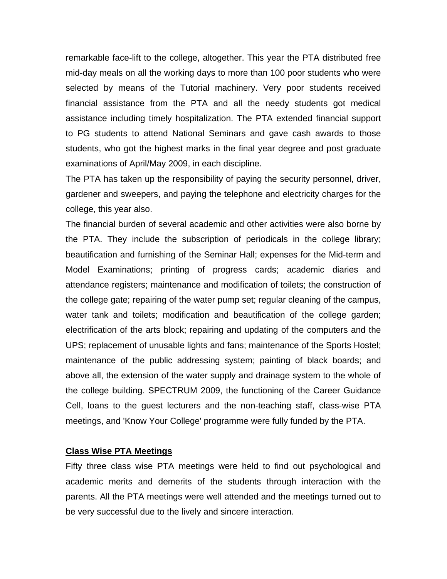remarkable face-lift to the college, altogether. This year the PTA distributed free mid-day meals on all the working days to more than 100 poor students who were selected by means of the Tutorial machinery. Very poor students received financial assistance from the PTA and all the needy students got medical assistance including timely hospitalization. The PTA extended financial support to PG students to attend National Seminars and gave cash awards to those students, who got the highest marks in the final year degree and post graduate examinations of April/May 2009, in each discipline.

The PTA has taken up the responsibility of paying the security personnel, driver, gardener and sweepers, and paying the telephone and electricity charges for the college, this year also.

The financial burden of several academic and other activities were also borne by the PTA. They include the subscription of periodicals in the college library; beautification and furnishing of the Seminar Hall; expenses for the Mid-term and Model Examinations; printing of progress cards; academic diaries and attendance registers; maintenance and modification of toilets; the construction of the college gate; repairing of the water pump set; regular cleaning of the campus, water tank and toilets; modification and beautification of the college garden; electrification of the arts block; repairing and updating of the computers and the UPS; replacement of unusable lights and fans; maintenance of the Sports Hostel; maintenance of the public addressing system; painting of black boards; and above all, the extension of the water supply and drainage system to the whole of the college building. SPECTRUM 2009, the functioning of the Career Guidance Cell, loans to the guest lecturers and the non-teaching staff, class-wise PTA meetings, and 'Know Your College' programme were fully funded by the PTA.

#### **Class Wise PTA Meetings**

Fifty three class wise PTA meetings were held to find out psychological and academic merits and demerits of the students through interaction with the parents. All the PTA meetings were well attended and the meetings turned out to be very successful due to the lively and sincere interaction.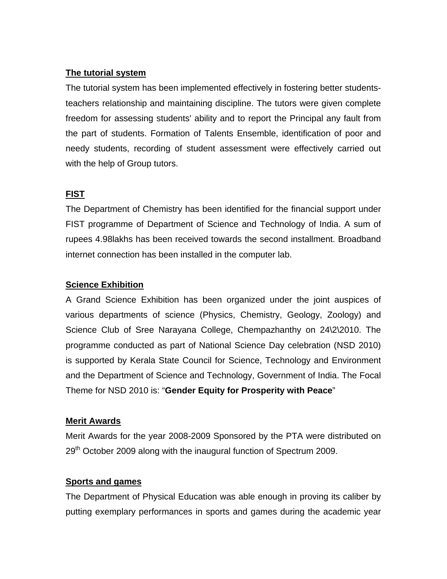### **The tutorial system**

The tutorial system has been implemented effectively in fostering better studentsteachers relationship and maintaining discipline. The tutors were given complete freedom for assessing students' ability and to report the Principal any fault from the part of students. Formation of Talents Ensemble, identification of poor and needy students, recording of student assessment were effectively carried out with the help of Group tutors.

# **FIST**

The Department of Chemistry has been identified for the financial support under FIST programme of Department of Science and Technology of India. A sum of rupees 4.98lakhs has been received towards the second installment. Broadband internet connection has been installed in the computer lab.

### **Science Exhibition**

A Grand Science Exhibition has been organized under the joint auspices of various departments of science (Physics, Chemistry, Geology, Zoology) and Science Club of Sree Narayana College, Chempazhanthy on 24\2\2010. The programme conducted as part of National Science Day celebration (NSD 2010) is supported by Kerala State Council for Science, Technology and Environment and the Department of Science and Technology, Government of India. The Focal Theme for NSD 2010 is: "**Gender Equity for Prosperity with Peace**"

### **Merit Awards**

Merit Awards for the year 2008-2009 Sponsored by the PTA were distributed on 29<sup>th</sup> October 2009 along with the inaugural function of Spectrum 2009.

### **Sports and games**

The Department of Physical Education was able enough in proving its caliber by putting exemplary performances in sports and games during the academic year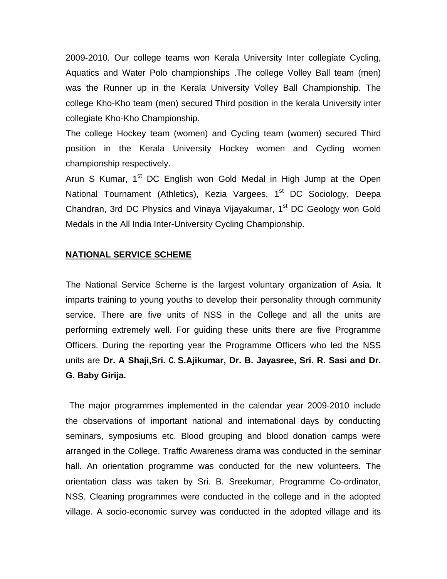2009-2010. Our college teams won Kerala University Inter collegiate Cycling, Aquatics and Water Polo championships .The college Volley Ball team (men) was the Runner up in the Kerala University Volley Ball Championship. The college Kho-Kho team (men) secured Third position in the kerala University inter collegiate Kho-Kho Championship.

The college Hockey team (women) and Cycling team (women) secured Third position in the Kerala University Hockey women and Cycling women championship respectively.

Arun S Kumar, 1<sup>st</sup> DC English won Gold Medal in High Jump at the Open National Tournament (Athletics), Kezia Vargees, 1<sup>st</sup> DC Sociology, Deepa Chandran, 3rd DC Physics and Vinaya Vijayakumar, 1<sup>st</sup> DC Geology won Gold Medals in the All India Inter-University Cycling Championship.

#### **NATIONAL SERVICE SCHEME**

The National Service Scheme is the largest voluntary organization of Asia. It imparts training to young youths to develop their personality through community service. There are five units of NSS in the College and all the units are performing extremely well. For guiding these units there are five Programme Officers. During the reporting year the Programme Officers who led the NSS units are **Dr. A Shaji,Sri. C. S.Ajikumar, Dr. B. Jayasree, Sri. R. Sasi and Dr. G. Baby Girija.** 

 The major programmes implemented in the calendar year 2009-2010 include the observations of important national and international days by conducting seminars, symposiums etc. Blood grouping and blood donation camps were arranged in the College. Traffic Awareness drama was conducted in the seminar hall. An orientation programme was conducted for the new volunteers. The orientation class was taken by Sri. B. Sreekumar, Programme Co-ordinator, NSS. Cleaning programmes were conducted in the college and in the adopted village. A socio-economic survey was conducted in the adopted village and its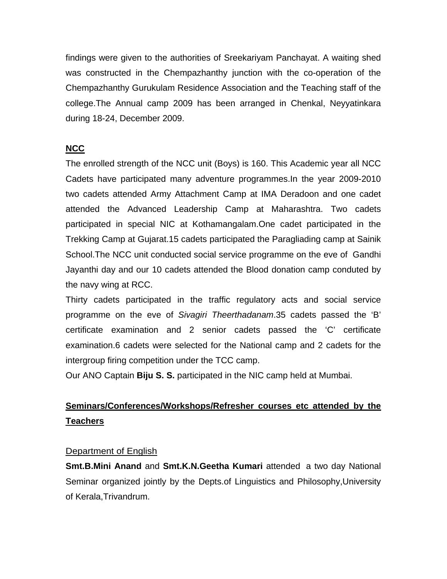findings were given to the authorities of Sreekariyam Panchayat. A waiting shed was constructed in the Chempazhanthy junction with the co-operation of the Chempazhanthy Gurukulam Residence Association and the Teaching staff of the college.The Annual camp 2009 has been arranged in Chenkal, Neyyatinkara during 18-24, December 2009.

# **NCC**

The enrolled strength of the NCC unit (Boys) is 160. This Academic year all NCC Cadets have participated many adventure programmes.In the year 2009-2010 two cadets attended Army Attachment Camp at IMA Deradoon and one cadet attended the Advanced Leadership Camp at Maharashtra. Two cadets participated in special NIC at Kothamangalam.One cadet participated in the Trekking Camp at Gujarat.15 cadets participated the Paragliading camp at Sainik School.The NCC unit conducted social service programme on the eve of Gandhi Jayanthi day and our 10 cadets attended the Blood donation camp conduted by the navy wing at RCC.

Thirty cadets participated in the traffic regulatory acts and social service programme on the eve of *Sivagiri Theerthadanam*.35 cadets passed the 'B' certificate examination and 2 senior cadets passed the 'C' certificate examination.6 cadets were selected for the National camp and 2 cadets for the intergroup firing competition under the TCC camp.

Our ANO Captain **Biju S. S.** participated in the NIC camp held at Mumbai.

# **Seminars/Conferences/Workshops/Refresher courses etc attended by the Teachers**

### Department of English

**Smt.B.Mini Anand** and **Smt.K.N.Geetha Kumari** attended a two day National Seminar organized jointly by the Depts.of Linguistics and Philosophy,University of Kerala,Trivandrum.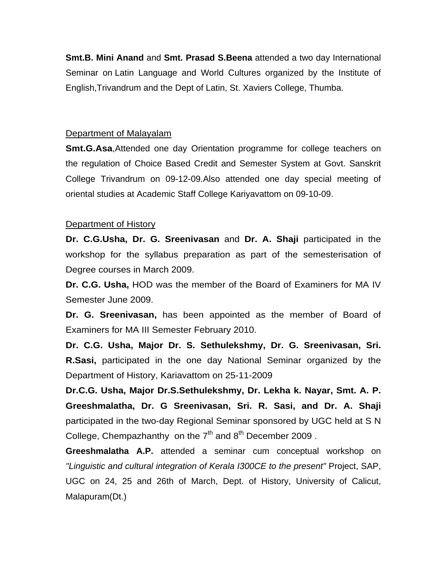**Smt.B. Mini Anand** and **Smt. Prasad S.Beena** attended a two day International Seminar on Latin Language and World Cultures organized by the Institute of English,Trivandrum and the Dept of Latin, St. Xaviers College, Thumba.

#### Department of Malayalam

**Smt.G.Asa, Attended one day Orientation programme for college teachers on** the regulation of Choice Based Credit and Semester System at Govt. Sanskrit College Trivandrum on 09-12-09.Also attended one day special meeting of oriental studies at Academic Staff College Kariyavattom on 09-10-09.

#### Department of History

**Dr. C.G.Usha, Dr. G. Sreenivasan** and **Dr. A. Shaji** participated in the workshop for the syllabus preparation as part of the semesterisation of Degree courses in March 2009.

**Dr. C.G. Usha,** HOD was the member of the Board of Examiners for MA IV Semester June 2009.

**Dr. G. Sreenivasan,** has been appointed as the member of Board of Examiners for MA III Semester February 2010.

**Dr. C.G. Usha, Major Dr. S. Sethulekshmy, Dr. G. Sreenivasan, Sri. R.Sasi,** participated in the one day National Seminar organized by the Department of History, Kariavattom on 25-11-2009

**Dr.C.G. Usha, Major Dr.S.Sethulekshmy, Dr. Lekha k. Nayar, Smt. A. P. Greeshmalatha, Dr. G Sreenivasan, Sri. R. Sasi, and Dr. A. Shaji** participated in the two-day Regional Seminar sponsored by UGC held at S N College, Chempazhanthy on the  $7<sup>th</sup>$  and  $8<sup>th</sup>$  December 2009.

**Greeshmalatha A.P.** attended a seminar cum conceptual workshop on *"Linguistic and cultural integration of Kerala I300CE to the present"* Project, SAP, UGC on 24, 25 and 26th of March, Dept. of History, University of Calicut, Malapuram(Dt.)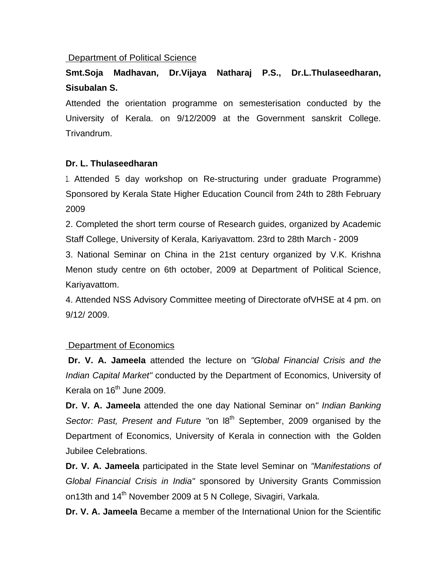#### Department of Political Science

# **Smt.Soja Madhavan, Dr.Vijaya Natharaj P.S., Dr.L.Thulaseedharan, Sisubalan S.**

Attended the orientation programme on semesterisation conducted by the University of Kerala. on 9/12/2009 at the Government sanskrit College. Trivandrum.

#### **Dr. L. Thulaseedharan**

1. Attended 5 day workshop on Re-structuring under graduate Programme) Sponsored by Kerala State Higher Education Council from 24th to 28th February 2009

2. Completed the short term course of Research guides, organized by Academic Staff College, University of Kerala, Kariyavattom. 23rd to 28th March - 2009

3. National Seminar on China in the 21st century organized by V.K. Krishna Menon study centre on 6th october, 2009 at Department of Political Science, Kariyavattom.

4. Attended NSS Advisory Committee meeting of Directorate ofVHSE at 4 pm. on 9/12/ 2009.

#### Department of Economics

 **Dr. V. A. Jameela** attended the lecture on *"Global Financial Crisis and the Indian Capital Market"* conducted by the Department of Economics, University of Kerala on  $16<sup>th</sup>$  June 2009.

**Dr. V. A. Jameela** attended the one day National Seminar on*" Indian Banking Sector: Past, Present and Future "on 18<sup>th</sup> September, 2009 organised by the* Department of Economics, University of Kerala in connection with the Golden Jubilee Celebrations.

**Dr. V. A. Jameela** participated in the State level Seminar on *"Manifestations of Global Financial Crisis in India"* sponsored by University Grants Commission on13th and 14<sup>th</sup> November 2009 at 5 N College, Sivagiri, Varkala.

**Dr. V. A. Jameela** Became a member of the International Union for the Scientific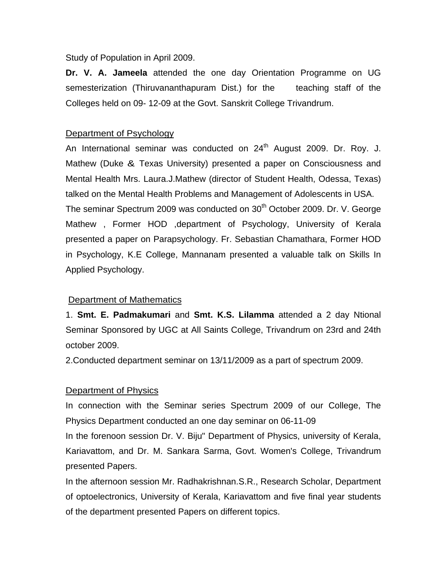Study of Population in April 2009.

**Dr. V. A. Jameela** attended the one day Orientation Programme on UG semesterization (Thiruvananthapuram Dist.) for the teaching staff of the Colleges held on 09- 12-09 at the Govt. Sanskrit College Trivandrum.

#### Department of Psychology

An International seminar was conducted on  $24<sup>th</sup>$  August 2009. Dr. Roy. J. Mathew (Duke & Texas University) presented a paper on Consciousness and Mental Health Mrs. Laura.J.Mathew (director of Student Health, Odessa, Texas) talked on the Mental Health Problems and Management of Adolescents in USA. The seminar Spectrum 2009 was conducted on 30<sup>th</sup> October 2009. Dr. V. George Mathew , Former HOD ,department of Psychology, University of Kerala presented a paper on Parapsychology. Fr. Sebastian Chamathara, Former HOD in Psychology, K.E College, Mannanam presented a valuable talk on Skills In Applied Psychology.

### Department of Mathematics

1. **Smt. E. Padmakumari** and **Smt. K.S. Lilamma** attended a 2 day Ntional Seminar Sponsored by UGC at All Saints College, Trivandrum on 23rd and 24th october 2009.

2.Conducted department seminar on 13/11/2009 as a part of spectrum 2009.

### Department of Physics

In connection with the Seminar series Spectrum 2009 of our College, The Physics Department conducted an one day seminar on 06-11-09

In the forenoon session Dr. V. Biju" Department of Physics, university of Kerala, Kariavattom, and Dr. M. Sankara Sarma, Govt. Women's College, Trivandrum presented Papers.

In the afternoon session Mr. Radhakrishnan.S.R., Research Scholar, Department of optoelectronics, University of Kerala, Kariavattom and five final year students of the department presented Papers on different topics.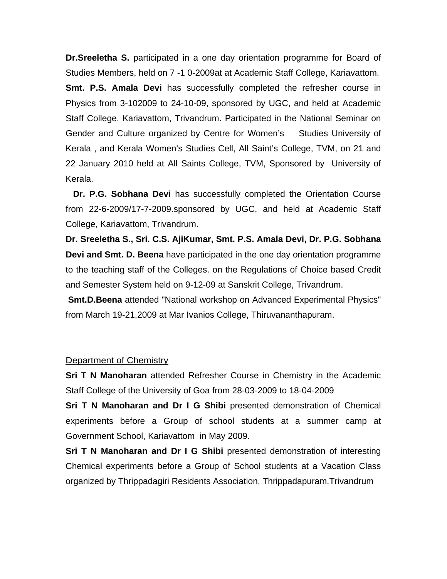**Dr.Sreeletha S.** participated in a one day orientation programme for Board of Studies Members, held on 7 -1 0-2009at at Academic Staff College, Kariavattom. **Smt. P.S. Amala Devi** has successfully completed the refresher course in Physics from 3-102009 to 24-10-09, sponsored by UGC, and held at Academic Staff College, Kariavattom, Trivandrum. Participated in the National Seminar on Gender and Culture organized by Centre for Women's Studies University of Kerala , and Kerala Women's Studies Cell, All Saint's College, TVM, on 21 and 22 January 2010 held at All Saints College, TVM, Sponsored by University of Kerala.

 **Dr. P.G. Sobhana Devi** has successfully completed the Orientation Course from 22-6-2009/17-7-2009.sponsored by UGC, and held at Academic Staff College, Kariavattom, Trivandrum.

**Dr. Sreeletha S., Sri. C.S. AjiKumar, Smt. P.S. Amala Devi, Dr. P.G. Sobhana Devi and Smt. D. Beena** have participated in the one day orientation programme to the teaching staff of the Colleges. on the Regulations of Choice based Credit and Semester System held on 9-12-09 at Sanskrit College, Trivandrum.

**Smt.D.Beena** attended "National workshop on Advanced Experimental Physics" from March 19-21,2009 at Mar Ivanios College, Thiruvananthapuram.

#### Department of Chemistry

**Sri T N Manoharan** attended Refresher Course in Chemistry in the Academic Staff College of the University of Goa from 28-03-2009 to 18-04-2009

**Sri T N Manoharan and Dr I G Shibi** presented demonstration of Chemical experiments before a Group of school students at a summer camp at Government School, Kariavattom in May 2009.

**Sri T N Manoharan and Dr I G Shibi** presented demonstration of interesting Chemical experiments before a Group of School students at a Vacation Class organized by Thrippadagiri Residents Association, Thrippadapuram.Trivandrum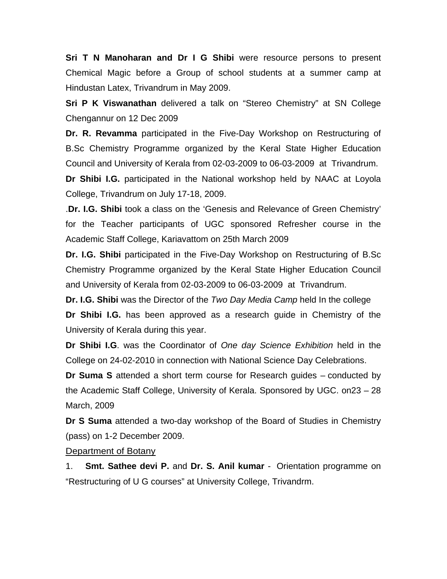**Sri T N Manoharan and Dr I G Shibi** were resource persons to present Chemical Magic before a Group of school students at a summer camp at Hindustan Latex, Trivandrum in May 2009.

**Sri P K Viswanathan** delivered a talk on "Stereo Chemistry" at SN College Chengannur on 12 Dec 2009

**Dr. R. Revamma** participated in the Five-Day Workshop on Restructuring of B.Sc Chemistry Programme organized by the Keral State Higher Education Council and University of Kerala from 02-03-2009 to 06-03-2009 atTrivandrum.

**Dr Shibi I.G.** participated in the National workshop held by NAAC at Loyola College, Trivandrum on July 17-18, 2009.

.**Dr. I.G. Shibi** took a class on the 'Genesis and Relevance of Green Chemistry' for the Teacher participants of UGC sponsored Refresher course in the Academic Staff College, Kariavattom on 25th March 2009

**Dr. I.G. Shibi** participated in the Five-Day Workshop on Restructuring of B.Sc Chemistry Programme organized by the Keral State Higher Education Council and University of Kerala from 02-03-2009 to 06-03-2009 at Trivandrum.

**Dr. I.G. Shibi** was the Director of the *Two Day Media Camp* held In the college **Dr Shibi I.G.** has been approved as a research guide in Chemistry of the

University of Kerala during this year.

**Dr Shibi I.G**. was the Coordinator of *One day Science Exhibition* held in the College on 24-02-2010 in connection with National Science Day Celebrations.

**Dr Suma S** attended a short term course for Research guides – conducted by the Academic Staff College, University of Kerala. Sponsored by UGC. on23 – 28 March, 2009

**Dr S Suma** attended a two-day workshop of the Board of Studies in Chemistry (pass) on 1-2 December 2009.

Department of Botany

1. **Smt. Sathee devi P.** and **Dr. S. Anil kumar** - Orientation programme on "Restructuring of U G courses" at University College, Trivandrm.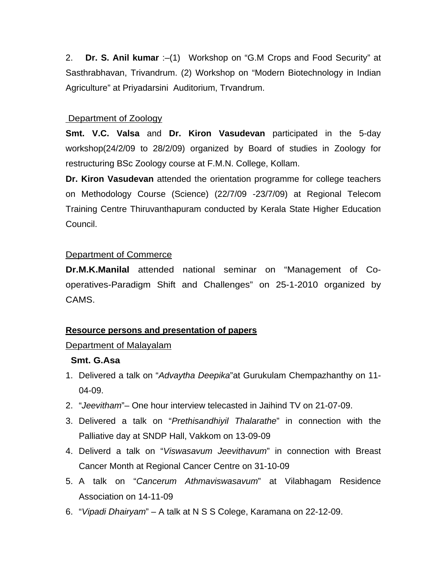2. **Dr. S. Anil kumar** :–(1) Workshop on "G.M Crops and Food Security" at Sasthrabhavan, Trivandrum. (2) Workshop on "Modern Biotechnology in Indian Agriculture" at Priyadarsini Auditorium, Trvandrum.

### Department of Zoology

**Smt. V.C. Valsa** and **Dr. Kiron Vasudevan** participated in the 5-day workshop(24/2/09 to 28/2/09) organized by Board of studies in Zoology for restructuring BSc Zoology course at F.M.N. College, Kollam.

**Dr. Kiron Vasudevan** attended the orientation programme for college teachers on Methodology Course (Science) (22/7/09 -23/7/09) at Regional Telecom Training Centre Thiruvanthapuram conducted by Kerala State Higher Education Council.

# Department of Commerce

**Dr.M.K.Manilal** attended national seminar on "Management of Cooperatives-Paradigm Shift and Challenges" on 25-1-2010 organized by CAMS.

# **Resource persons and presentation of papers**

### Department of Malayalam

### **Smt. G.Asa**

- 1. Delivered a talk on "*Advaytha Deepika*"at Gurukulam Chempazhanthy on 11- 04-09.
- 2. "*Jeevitham*"– One hour interview telecasted in Jaihind TV on 21-07-09.
- 3. Delivered a talk on "*Prethisandhiyil Thalarathe*" in connection with the Palliative day at SNDP Hall, Vakkom on 13-09-09
- 4. Deliverd a talk on "*Viswasavum Jeevithavum*" in connection with Breast Cancer Month at Regional Cancer Centre on 31-10-09
- 5. A talk on "*Cancerum Athmaviswasavum*" at Vilabhagam Residence Association on 14-11-09
- 6. "*Vipadi Dhairyam*" A talk at N S S Colege, Karamana on 22-12-09.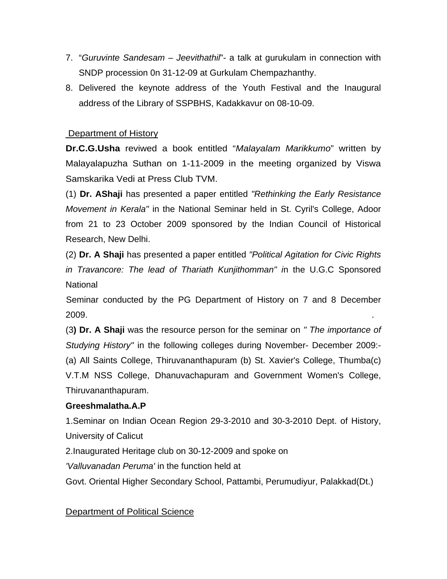- 7. "*Guruvinte Sandesam Jeevithathil*"- a talk at gurukulam in connection with SNDP procession 0n 31-12-09 at Gurkulam Chempazhanthy.
- 8. Delivered the keynote address of the Youth Festival and the Inaugural address of the Library of SSPBHS, Kadakkavur on 08-10-09.

#### Department of History

**Dr.C.G.Usha** reviwed a book entitled "*Malayalam Marikkumo*" written by Malayalapuzha Suthan on 1-11-2009 in the meeting organized by Viswa Samskarika Vedi at Press Club TVM.

(1) **Dr. AShaji** has presented a paper entitled *"Rethinking the Early Resistance Movement in Kerala"* in the National Seminar held in St. Cyril's College, Adoor from 21 to 23 October 2009 sponsored by the Indian Council of Historical Research, New Delhi.

(2) **Dr. A Shaji** has presented a paper entitled *"Political Agitation for Civic Rights in Travancore: The lead of Thariath Kunjithomman" i*n the U.G.C Sponsored National

 Seminar conducted by the PG Department of History on 7 and 8 December  $2009.$ 

(3**) Dr. A Shaji** was the resource person for the seminar on *" The importance of Studying History"* in the following colleges during November- December 2009:- (a) All Saints College, Thiruvananthapuram (b) St. Xavier's College, Thumba(c) V.T.M NSS College, Dhanuvachapuram and Government Women's College, Thiruvananthapuram.

### **Greeshmalatha.A.P**

1.Seminar on Indian Ocean Region 29-3-2010 and 30-3-2010 Dept. of History, University of Calicut

2.Inaugurated Heritage club on 30-12-2009 and spoke on

*'Valluvanadan Peruma'* in the function held at

Govt. Oriental Higher Secondary School, Pattambi, Perumudiyur, Palakkad(Dt.)

### Department of Political Science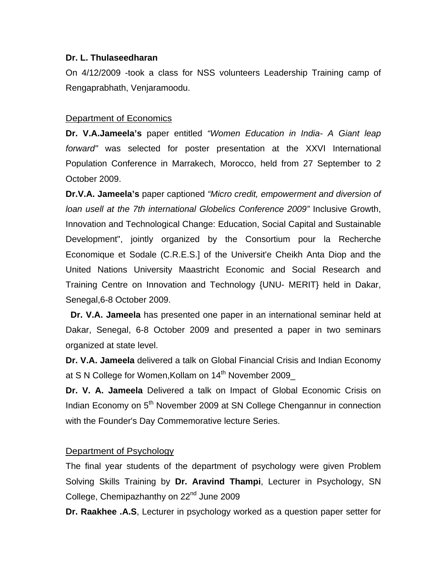#### **Dr. L. Thulaseedharan**

On 4/12/2009 -took a class for NSS volunteers Leadership Training camp of Rengaprabhath, Venjaramoodu.

#### Department of Economics

**Dr. V.A.Jameela's** paper entitled *"Women Education in India- A Giant leap forward"* was selected for poster presentation at the XXVI International Population Conference in Marrakech, Morocco, held from 27 September to 2 October 2009.

**Dr.V.A. Jameela's** paper captioned *"Micro credit, empowerment and diversion of loan usell at the 7th international Globelics Conference 2009"* Inclusive Growth, Innovation and Technological Change: Education, Social Capital and Sustainable Development", jointly organized by the Consortium pour la Recherche Economique et Sodale (C.R.E.S.] of the Universit'e Cheikh Anta Diop and the United Nations University Maastricht Economic and Social Research and Training Centre on Innovation and Technology {UNU- MERIT} held in Dakar, Senegal,6-8 October 2009.

 **Dr. V.A. Jameela** has presented one paper in an international seminar held at Dakar, Senegal, 6-8 October 2009 and presented a paper in two seminars organized at state level.

**Dr. V.A. Jameela** delivered a talk on Global Financial Crisis and Indian Economy at S N College for Women, Kollam on 14<sup>th</sup> November 2009

**Dr. V. A. Jameela** Delivered a talk on Impact of Global Economic Crisis on Indian Economy on 5<sup>th</sup> November 2009 at SN College Chengannur in connection with the Founder's Day Commemorative lecture Series.

### Department of Psychology

The final year students of the department of psychology were given Problem Solving Skills Training by **Dr. Aravind Thampi**, Lecturer in Psychology, SN College, Chemipazhanthy on 22<sup>nd</sup> June 2009

**Dr. Raakhee .A.S**, Lecturer in psychology worked as a question paper setter for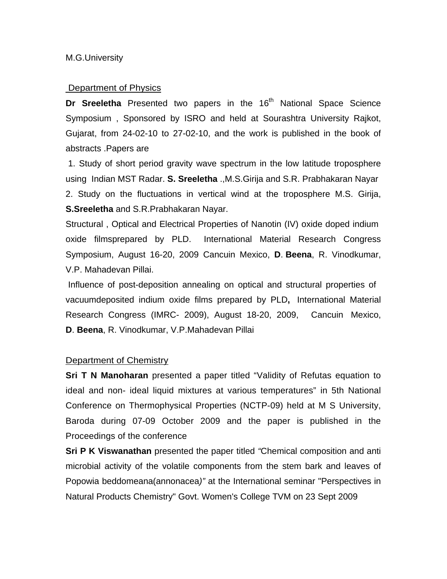#### **Department of Physics**

**Dr Sreeletha** Presented two papers in the 16<sup>th</sup> National Space Science Symposium , Sponsored by ISRO and held at Sourashtra University Rajkot, Gujarat, from 24-02-10 to 27-02-10, and the work is published in the book of abstracts .Papers are

 1. Study of short period gravity wave spectrum in the low latitude troposphere using Indian MST Radar. **S. Sreeletha** .,M.S.Girija and S.R. Prabhakaran Nayar 2. Study on the fluctuations in vertical wind at the troposphere M.S. Girija, **S.Sreeletha** and S.R.Prabhakaran Nayar.

Structural , Optical and Electrical Properties of Nanotin (IV) oxide doped indium oxide filmsprepared by PLD. International Material Research Congress Symposium, August 16-20, 2009 Cancuin Mexico, **D**. **Beena**, R. Vinodkumar, V.P. Mahadevan Pillai.

 Influence of post-deposition annealing on optical and structural properties of vacuumdeposited indium oxide films prepared by PLD**,** International Material Research Congress (IMRC- 2009), August 18-20, 2009, Cancuin Mexico, **D**. **Beena**, R. Vinodkumar, V.P.Mahadevan Pillai

#### Department of Chemistry

**Sri T N Manoharan** presented a paper titled "Validity of Refutas equation to ideal and non- ideal liquid mixtures at various temperatures" in 5th National Conference on Thermophysical Properties (NCTP-09) held at M S University, Baroda during 07-09 October 2009 and the paper is published in the Proceedings of the conference

**Sri P K Viswanathan** presented the paper titled *"*Chemical composition and anti microbial activity of the volatile components from the stem bark and leaves of Popowia beddomeana(annonacea*)"* at the International seminar "Perspectives in Natural Products Chemistry" Govt. Women's College TVM on 23 Sept 2009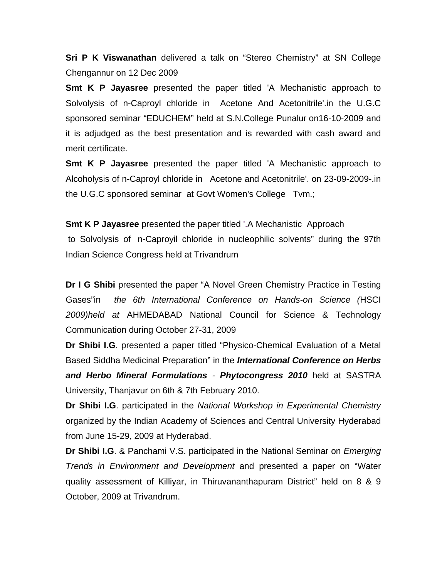**Sri P K Viswanathan** delivered a talk on "Stereo Chemistry" at SN College Chengannur on 12 Dec 2009

**Smt K P Jayasree** presented the paper titled 'A Mechanistic approach to Solvolysis of n-Caproyl chloride in Acetone And Acetonitrile'.in the U.G.C sponsored seminar "EDUCHEM" held at S.N.College Punalur on16-10-2009 and it is adjudged as the best presentation and is rewarded with cash award and merit certificate.

**Smt K P Jayasree** presented the paper titled 'A Mechanistic approach to Alcoholysis of n-Caproyl chloride in Acetone and Acetonitrile'. on 23-09-2009-.in the U.G.C sponsored seminar at Govt Women's College Tvm.;

**Smt K P Jayasree** presented the paper titled '.A Mechanistic Approach

 to Solvolysis of n-Caproyil chloride in nucleophilic solvents" during the 97th Indian Science Congress held at Trivandrum

**Dr I G Shibi** presented the paper "A Novel Green Chemistry Practice in Testing Gases"in *the 6th International Conference on Hands-on Science (*HSCI *2009)held at* AHMEDABAD National Council for Science & Technology Communication during October 27-31, 2009

**Dr Shibi I.G**. presented a paper titled "Physico-Chemical Evaluation of a Metal Based Siddha Medicinal Preparation" in the *International Conference on Herbs and Herbo Mineral Formulations - Phytocongress 2010* held at SASTRA University, Thanjavur on 6th & 7th February 2010.

**Dr Shibi I.G**. participated in the *National Workshop in Experimental Chemistry* organized by the Indian Academy of Sciences and Central University Hyderabad from June 15-29, 2009 at Hyderabad.

**Dr Shibi I.G**. & Panchami V.S. participated in the National Seminar on *Emerging Trends in Environment and Development* and presented a paper on "Water quality assessment of Killiyar, in Thiruvananthapuram District" held on 8 & 9 October, 2009 at Trivandrum.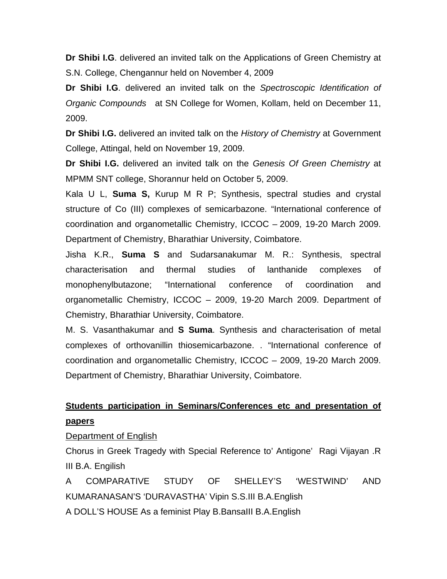**Dr Shibi I.G**. delivered an invited talk on the Applications of Green Chemistry at S.N. College, Chengannur held on November 4, 2009

**Dr Shibi I.G**. delivered an invited talk on the *Spectroscopic Identification of Organic Compounds* at SN College for Women, Kollam, held on December 11, 2009.

**Dr Shibi I.G.** delivered an invited talk on the *History of Chemistry* at Government College, Attingal, held on November 19, 2009.

**Dr Shibi I.G.** delivered an invited talk on the *Genesis Of Green Chemistry* at MPMM SNT college, Shorannur held on October 5, 2009.

Kala U L, **Suma S,** Kurup M R P; Synthesis, spectral studies and crystal structure of Co (III) complexes of semicarbazone. "International conference of coordination and organometallic Chemistry, ICCOC – 2009, 19-20 March 2009. Department of Chemistry, Bharathiar University, Coimbatore.

Jisha K.R., **Suma S** and Sudarsanakumar M. R.: Synthesis, spectral characterisation and thermal studies of lanthanide complexes of monophenylbutazone; "International conference of coordination and organometallic Chemistry, ICCOC – 2009, 19-20 March 2009. Department of Chemistry, Bharathiar University, Coimbatore.

M. S. Vasanthakumar and **S Suma**. Synthesis and characterisation of metal complexes of orthovanillin thiosemicarbazone. . "International conference of coordination and organometallic Chemistry, ICCOC – 2009, 19-20 March 2009. Department of Chemistry, Bharathiar University, Coimbatore.

# **Students participation in Seminars/Conferences etc and presentation of papers**

#### Department of English

Chorus in Greek Tragedy with Special Reference to' Antigone' Ragi Vijayan .R III B.A. Engilish

A COMPARATIVE STUDY OF SHELLEY'S 'WESTWIND' AND KUMARANASAN'S 'DURAVASTHA' Vipin S.S.III B.A.English A DOLL'S HOUSE As a feminist Play B.BansaIII B.A.English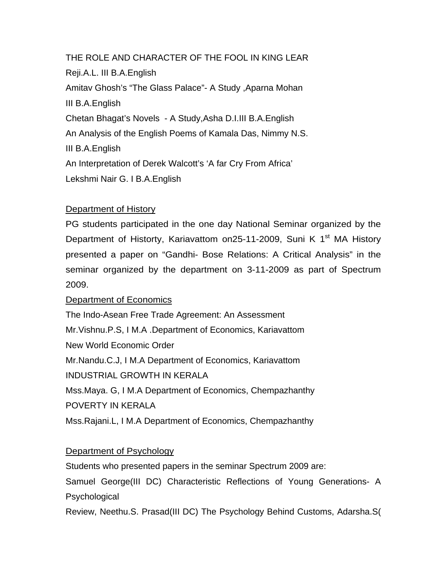THE ROLE AND CHARACTER OF THE FOOL IN KING LEAR Reji.A.L. III B.A.English Amitav Ghosh's "The Glass Palace"- A Study ,Aparna Mohan III B.A.English Chetan Bhagat's Novels - A Study,Asha D.I.III B.A.English An Analysis of the English Poems of Kamala Das, Nimmy N.S. III B.A.English An Interpretation of Derek Walcott's 'A far Cry From Africa' Lekshmi Nair G. I B.A.English

# Department of History

PG students participated in the one day National Seminar organized by the Department of Historty, Kariavattom on25-11-2009, Suni K  $1<sup>st</sup>$  MA History presented a paper on "Gandhi- Bose Relations: A Critical Analysis" in the seminar organized by the department on 3-11-2009 as part of Spectrum 2009.

### Department of Economics

The Indo-Asean Free Trade Agreement: An Assessment Mr.Vishnu.P.S, I M.A .Department of Economics, Kariavattom New World Economic Order Mr.Nandu.C.J, I M.A Department of Economics, Kariavattom INDUSTRIAL GROWTH IN KERALA Mss.Maya. G, I M.A Department of Economics, Chempazhanthy POVERTY IN KERALA Mss.Rajani.L, I M.A Department of Economics, Chempazhanthy

### Department of Psychology

Students who presented papers in the seminar Spectrum 2009 are:

Samuel George(III DC) Characteristic Reflections of Young Generations- A **Psychological** 

Review, Neethu.S. Prasad(III DC) The Psychology Behind Customs, Adarsha.S(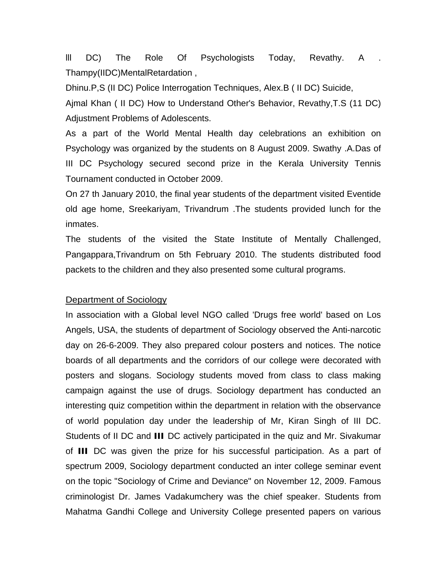lll DC) The Role Of Psychologists Today, Revathy. A . Thampy(IIDC)MentalRetardation ,

Dhinu.P,S (II DC) Police Interrogation Techniques, Alex.B ( II DC) Suicide,

Ajmal Khan ( II DC) How to Understand Other's Behavior, Revathy,T.S (11 DC) Adjustment Problems of Adolescents.

As a part of the World Mental Health day celebrations an exhibition on Psychology was organized by the students on 8 August 2009. Swathy .A.Das of III DC Psychology secured second prize in the Kerala University Tennis Tournament conducted in October 2009.

On 27 th January 2010, the final year students of the department visited Eventide old age home, Sreekariyam, Trivandrum .The students provided lunch for the inmates.

The students of the visited the State Institute of Mentally Challenged, Pangappara,Trivandrum on 5th February 2010. The students distributed food packets to the children and they also presented some cultural programs.

#### Department of Sociology

In association with a Global level NGO called 'Drugs free world' based on Los Angels, USA, the students of department of Sociology observed the Anti-narcotic day on 26-6-2009. They also prepared colour posters and notices. The notice boards of all departments and the corridors of our college were decorated with posters and slogans. Sociology students moved from class to class making campaign against the use of drugs. Sociology department has conducted an interesting quiz competition within the department in relation with the observance of world population day under the leadership of Mr, Kiran Singh of III DC. Students of II DC and **III** DC actively participated in the quiz and Mr. Sivakumar of **III** DC was given the prize for his successful participation. As a part of spectrum 2009, Sociology department conducted an inter college seminar event on the topic "Sociology of Crime and Deviance" on November 12, 2009. Famous criminologist Dr. James Vadakumchery was the chief speaker. Students from Mahatma Gandhi College and University College presented papers on various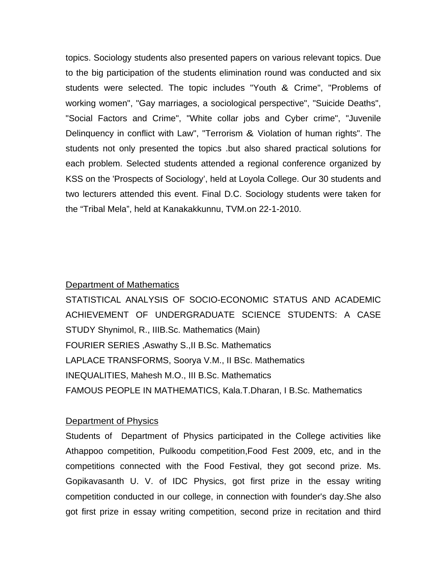topics. Sociology students also presented papers on various relevant topics. Due to the big participation of the students elimination round was conducted and six students were selected. The topic includes "Youth & Crime", "Problems of working women", "Gay marriages, a sociological perspective", "Suicide Deaths", "Social Factors and Crime", "White collar jobs and Cyber crime", "Juvenile Delinquency in conflict with Law", "Terrorism & Violation of human rights". The students not only presented the topics .but also shared practical solutions for each problem. Selected students attended a regional conference organized by KSS on the 'Prospects of Sociology', held at Loyola College. Our 30 students and two lecturers attended this event. Final D.C. Sociology students were taken for the "Tribal Mela", held at Kanakakkunnu, TVM.on 22-1-2010.

#### Department of Mathematics

STATISTICAL ANALYSIS OF SOCIO-ECONOMIC STATUS AND ACADEMIC ACHIEVEMENT OF UNDERGRADUATE SCIENCE STUDENTS: A CASE STUDY Shynimol, R., IIIB.Sc. Mathematics (Main) FOURIER SERIES ,Aswathy S.,II B.Sc. Mathematics LAPLACE TRANSFORMS, Soorya V.M., II BSc. Mathematics INEQUALITIES, Mahesh M.O., III B.Sc. Mathematics FAMOUS PEOPLE IN MATHEMATICS, Kala.T.Dharan, I B.Sc. Mathematics

#### Department of Physics

Students of Department of Physics participated in the College activities like Athappoo competition, Pulkoodu competition,Food Fest 2009, etc, and in the competitions connected with the Food Festival, they got second prize. Ms. Gopikavasanth U. V. of IDC Physics, got first prize in the essay writing competition conducted in our college, in connection with founder's day.She also got first prize in essay writing competition, second prize in recitation and third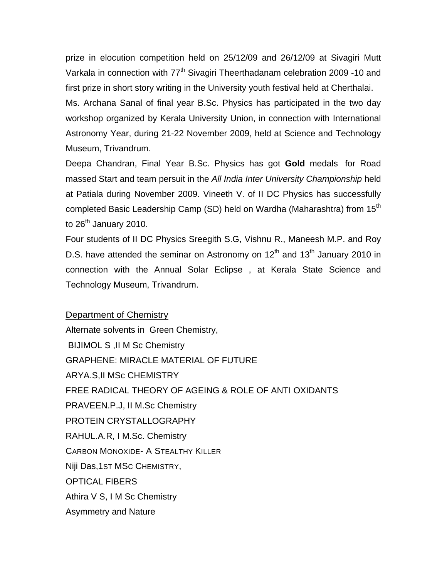prize in elocution competition held on 25/12/09 and 26/12/09 at Sivagiri Mutt Varkala in connection with 77<sup>th</sup> Sivagiri Theerthadanam celebration 2009 -10 and first prize in short story writing in the University youth festival held at Cherthalai. Ms. Archana Sanal of final year B.Sc. Physics has participated in the two day

workshop organized by Kerala University Union, in connection with International Astronomy Year, during 21-22 November 2009, held at Science and Technology Museum, Trivandrum.

Deepa Chandran, Final Year B.Sc. Physics has got **Gold** medals for Road massed Start and team persuit in the *All India Inter University Championship* held at Patiala during November 2009. Vineeth V. of II DC Physics has successfully completed Basic Leadership Camp (SD) held on Wardha (Maharashtra) from 15<sup>th</sup> to 26<sup>th</sup> January 2010.

Four students of II DC Physics Sreegith S.G, Vishnu R., Maneesh M.P. and Roy D.S. have attended the seminar on Astronomy on  $12<sup>th</sup>$  and  $13<sup>th</sup>$  January 2010 in connection with the Annual Solar Eclipse , at Kerala State Science and Technology Museum, Trivandrum.

#### Department of Chemistry

Alternate solvents in Green Chemistry, BIJIMOL S ,II M Sc Chemistry GRAPHENE: MIRACLE MATERIAL OF FUTURE ARYA.S,II MSc CHEMISTRY FREE RADICAL THEORY OF AGEING & ROLE OF ANTI OXIDANTS PRAVEEN.P.J, II M.Sc Chemistry PROTEIN CRYSTALLOGRAPHY RAHUL.A.R, I M.Sc. Chemistry CARBON MONOXIDE- A STEALTHY KILLER Niji Das,1ST MSC CHEMISTRY, OPTICAL FIBERS Athira V S, I M Sc Chemistry Asymmetry and Nature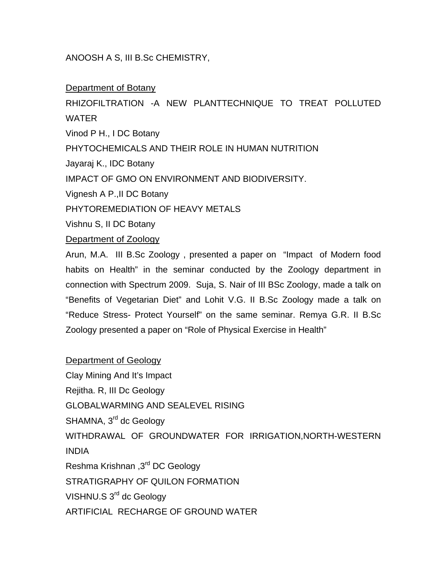#### ANOOSH A S, III B.Sc CHEMISTRY,

#### Department of Botany

RHIZOFILTRATION -A NEW PLANTTECHNIQUE TO TREAT POLLUTED WATER Vinod P H., I DC Botany PHYTOCHEMICALS AND THEIR ROLE IN HUMAN NUTRITION Jayaraj K., IDC Botany IMPACT OF GMO ON ENVIRONMENT AND BIODIVERSITY. Vignesh A P.,II DC Botany PHYTOREMEDIATION OF HEAVY METALS Vishnu S, II DC Botany Department of Zoology Arun, M.A. III B.Sc Zoology , presented a paper on "Impact of Modern food

habits on Health" in the seminar conducted by the Zoology department in connection with Spectrum 2009. Suja, S. Nair of III BSc Zoology, made a talk on "Benefits of Vegetarian Diet" and Lohit V.G. II B.Sc Zoology made a talk on "Reduce Stress- Protect Yourself" on the same seminar. Remya G.R. II B.Sc Zoology presented a paper on "Role of Physical Exercise in Health"

Department of Geology Clay Mining And It's Impact Rejitha. R, III Dc Geology GLOBALWARMING AND SEALEVEL RISING SHAMNA, 3<sup>rd</sup> dc Geology WITHDRAWAL OF GROUNDWATER FOR IRRIGATION,NORTH-WESTERN INDIA Reshma Krishnan ,3rd DC Geology STRATIGRAPHY OF QUILON FORMATION VISHNU.S 3<sup>rd</sup> dc Geology ARTIFICIAL RECHARGE OF GROUND WATER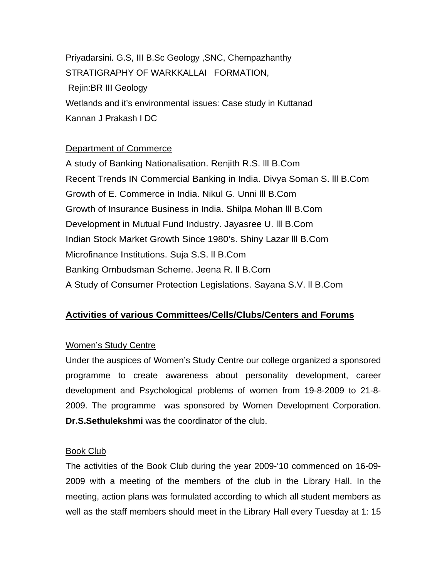Priyadarsini. G.S, III B.Sc Geology ,SNC, Chempazhanthy STRATIGRAPHY OF WARKKALLAI FORMATION, Rejin:BR III Geology Wetlands and it's environmental issues: Case study in Kuttanad Kannan J Prakash I DC

#### Department of Commerce

A study of Banking Nationalisation. Renjith R.S. lll B.Com Recent Trends IN Commercial Banking in India. Divya Soman S. lll B.Com Growth of E. Commerce in India. Nikul G. Unni lll B.Com Growth of Insurance Business in India. Shilpa Mohan lll B.Com Development in Mutual Fund Industry. Jayasree U. lll B.Com Indian Stock Market Growth Since 1980's. Shiny Lazar lll B.Com Microfinance Institutions. Suja S.S. ll B.Com Banking Ombudsman Scheme. Jeena R. ll B.Com A Study of Consumer Protection Legislations. Sayana S.V. ll B.Com

# **Activities of various Committees/Cells/Clubs/Centers and Forums**

### Women's Study Centre

Under the auspices of Women's Study Centre our college organized a sponsored programme to create awareness about personality development, career development and Psychological problems of women from 19-8-2009 to 21-8- 2009. The programme was sponsored by Women Development Corporation. **Dr.S.Sethulekshmi** was the coordinator of the club.

#### Book Club

The activities of the Book Club during the year 2009-'10 commenced on 16-09- 2009 with a meeting of the members of the club in the Library Hall. In the meeting, action plans was formulated according to which all student members as well as the staff members should meet in the Library Hall every Tuesday at 1: 15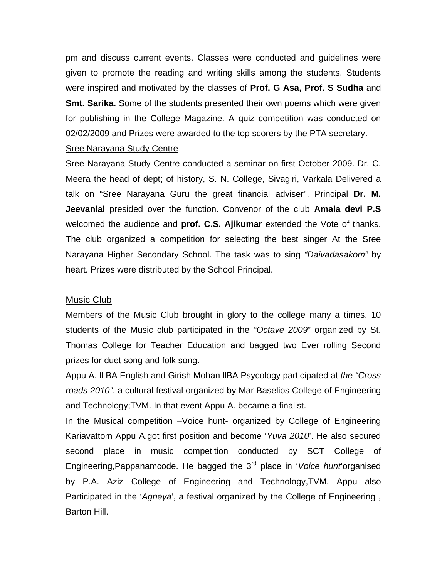pm and discuss current events. Classes were conducted and guidelines were given to promote the reading and writing skills among the students. Students were inspired and motivated by the classes of **Prof. G Asa, Prof. S Sudha** and **Smt. Sarika.** Some of the students presented their own poems which were given for publishing in the College Magazine. A quiz competition was conducted on 02/02/2009 and Prizes were awarded to the top scorers by the PTA secretary.

#### Sree Narayana Study Centre

Sree Narayana Study Centre conducted a seminar on first October 2009. Dr. C. Meera the head of dept; of history, S. N. College, Sivagiri, Varkala Delivered a talk on "Sree Narayana Guru the great financial adviser". Principal **Dr. M. Jeevanlal** presided over the function. Convenor of the club **Amala devi P.S** welcomed the audience and **prof. C.S. Ajikumar** extended the Vote of thanks. The club organized a competition for selecting the best singer At the Sree Narayana Higher Secondary School. The task was to sing *"Daivadasakom"* by heart. Prizes were distributed by the School Principal.

#### Music Club

Members of the Music Club brought in glory to the college many a times. 10 students of the Music club participated in the *"Octave 2009*" organized by St. Thomas College for Teacher Education and bagged two Ever rolling Second prizes for duet song and folk song.

Appu A. ll BA English and Girish Mohan llBA Psycology participated at *the "Cross roads 2010"*, a cultural festival organized by Mar Baselios College of Engineering and Technology;TVM. In that event Appu A. became a finalist.

In the Musical competition –Voice hunt- organized by College of Engineering Kariavattom Appu A.got first position and become '*Yuva 2010*'. He also secured second place in music competition conducted by SCT College of Engineering,Pappanamcode. He bagged the 3rd place in '*Voice hunt*'organised by P.A. Aziz College of Engineering and Technology,TVM. Appu also Participated in the '*Agneya*', a festival organized by the College of Engineering , Barton Hill.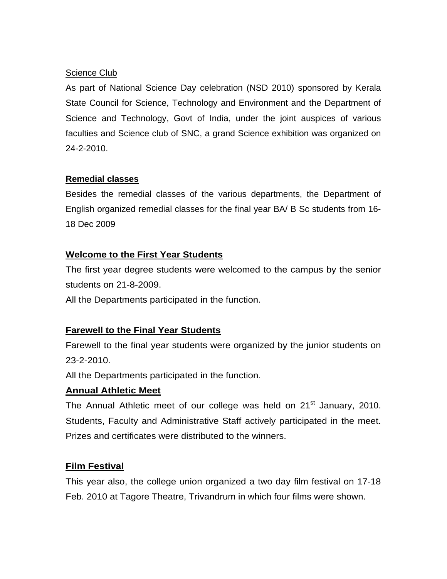# Science Club

As part of National Science Day celebration (NSD 2010) sponsored by Kerala State Council for Science, Technology and Environment and the Department of Science and Technology, Govt of India, under the joint auspices of various faculties and Science club of SNC, a grand Science exhibition was organized on 24-2-2010.

# **Remedial classes**

Besides the remedial classes of the various departments, the Department of English organized remedial classes for the final year BA/ B Sc students from 16- 18 Dec 2009

# **Welcome to the First Year Students**

The first year degree students were welcomed to the campus by the senior students on 21-8-2009.

All the Departments participated in the function.

# **Farewell to the Final Year Students**

Farewell to the final year students were organized by the junior students on 23-2-2010.

All the Departments participated in the function.

# **Annual Athletic Meet**

The Annual Athletic meet of our college was held on 21<sup>st</sup> January, 2010. Students, Faculty and Administrative Staff actively participated in the meet. Prizes and certificates were distributed to the winners.

# **Film Festival**

This year also, the college union organized a two day film festival on 17-18 Feb. 2010 at Tagore Theatre, Trivandrum in which four films were shown.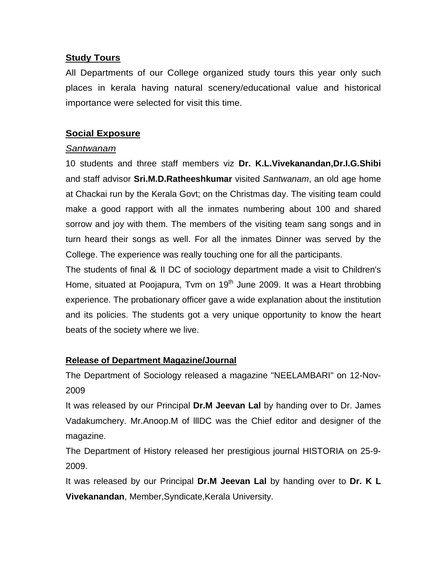#### **Study Tours**

All Departments of our College organized study tours this year only such places in kerala having natural scenery/educational value and historical importance were selected for visit this time.

#### **Social Exposure**

#### *Santwanam*

10 students and three staff members viz **Dr. K.L.Vivekanandan,Dr.I.G.Shibi** and staff advisor **Sri.M.D.Ratheeshkumar** visited *Santwanam*, an old age home at Chackai run by the Kerala Govt; on the Christmas day. The visiting team could make a good rapport with all the inmates numbering about 100 and shared sorrow and joy with them. The members of the visiting team sang songs and in turn heard their songs as well. For all the inmates Dinner was served by the College. The experience was really touching one for all the participants.

The students of final & II DC of sociology department made a visit to Children's Home, situated at Poojapura, Tvm on 19<sup>th</sup> June 2009. It was a Heart throbbing experience. The probationary officer gave a wide explanation about the institution and its policies. The students got a very unique opportunity to know the heart beats of the society where we live.

### **Release of Department Magazine/Journal**

The Department of Sociology released a magazine "NEELAMBARI" on 12-Nov-2009

It was released by our Principal **Dr.M Jeevan Lal** by handing over to Dr. James Vadakumchery. Mr.Anoop.M of lllDC was the Chief editor and designer of the magazine.

The Department of History released her prestigious journal HISTORIA on 25-9- 2009.

It was released by our Principal **Dr.M Jeevan Lal** by handing over to **Dr. K L Vivekanandan**, Member,Syndicate,Kerala University.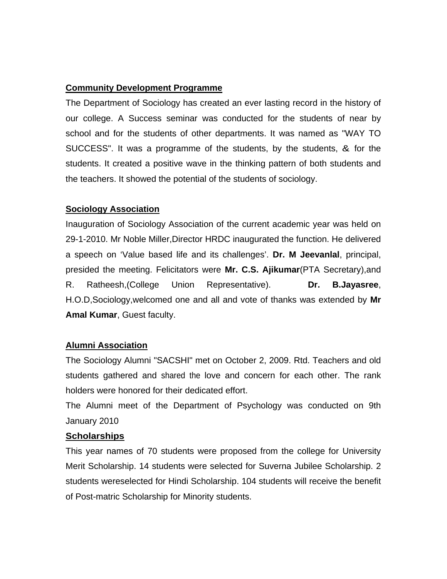#### **Community Development Programme**

The Department of Sociology has created an ever lasting record in the history of our college. A Success seminar was conducted for the students of near by school and for the students of other departments. It was named as "WAY TO SUCCESS". It was a programme of the students, by the students, & for the students. It created a positive wave in the thinking pattern of both students and the teachers. It showed the potential of the students of sociology.

#### **Sociology Association**

Inauguration of Sociology Association of the current academic year was held on 29-1-2010. Mr Noble Miller,Director HRDC inaugurated the function. He delivered a speech on 'Value based life and its challenges'. **Dr. M Jeevanlal**, principal, presided the meeting. Felicitators were **Mr. C.S. Ajikumar**(PTA Secretary),and R. Ratheesh,(College Union Representative). **Dr. B.Jayasree**, H.O.D,Sociology,welcomed one and all and vote of thanks was extended by **Mr Amal Kumar**, Guest faculty.

### **Alumni Association**

The Sociology Alumni "SACSHI" met on October 2, 2009. Rtd. Teachers and old students gathered and shared the love and concern for each other. The rank holders were honored for their dedicated effort.

The Alumni meet of the Department of Psychology was conducted on 9th January 2010

#### **Scholarships**

This year names of 70 students were proposed from the college for University Merit Scholarship. 14 students were selected for Suverna Jubilee Scholarship. 2 students wereselected for Hindi Scholarship. 104 students will receive the benefit of Post-matric Scholarship for Minority students.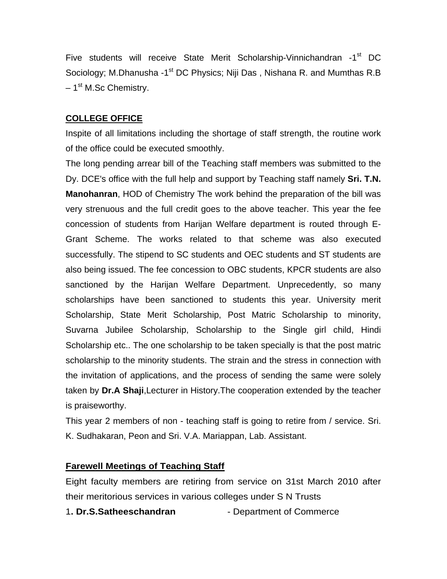Five students will receive State Merit Scholarship-Vinnichandran -1<sup>st</sup> DC Sociology; M.Dhanusha -1<sup>st</sup> DC Physics; Niji Das, Nishana R. and Mumthas R.B – 1<sup>st</sup> M.Sc Chemistry.

#### **COLLEGE OFFICE**

Inspite of all limitations including the shortage of staff strength, the routine work of the office could be executed smoothly.

The long pending arrear bill of the Teaching staff members was submitted to the Dy. DCE's office with the full help and support by Teaching staff namely **Sri. T.N. Manohanran**, HOD of Chemistry The work behind the preparation of the bill was very strenuous and the full credit goes to the above teacher. This year the fee concession of students from Harijan Welfare department is routed through E-Grant Scheme. The works related to that scheme was also executed successfully. The stipend to SC students and OEC students and ST students are also being issued. The fee concession to OBC students, KPCR students are also sanctioned by the Harijan Welfare Department. Unprecedently, so many scholarships have been sanctioned to students this year. University merit Scholarship, State Merit Scholarship, Post Matric Scholarship to minority, Suvarna Jubilee Scholarship, Scholarship to the Single girl child, Hindi Scholarship etc.. The one scholarship to be taken specially is that the post matric scholarship to the minority students. The strain and the stress in connection with the invitation of applications, and the process of sending the same were solely taken by **Dr.A Shaji**,Lecturer in History.The cooperation extended by the teacher is praiseworthy.

This year 2 members of non - teaching staff is going to retire from / service. Sri. K. Sudhakaran, Peon and Sri. V.A. Mariappan, Lab. Assistant.

#### **Farewell Meetings of Teaching Staff**

Eight faculty members are retiring from service on 31st March 2010 after their meritorious services in various colleges under S N Trusts

1. Dr.S.Satheeschandran - Department of Commerce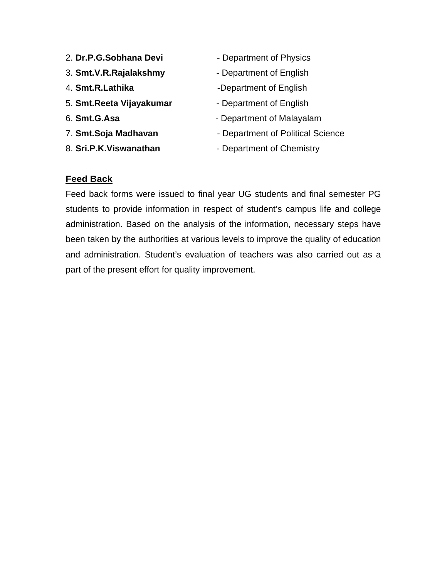- 2. **Dr.P.G.Sobhana Devi** Department of Physics
- 3. **Smt.V.R.Rajalakshmy** Department of English
- 
- 5. **Smt.Reeta Vijayakumar** Department of English
- 
- 
- 
- 
- 
- 4. **Smt.R.Lathika** -Department of English
	-
- 6. **Smt.G.Asa** Fig. 2. **Smt.G.Asa** Department of Malayalam
- 7. **Smt.Soja Madhavan Department of Political Science**
- 8. **Sri.P.K.Viswanathan** Department of Chemistry

#### **Feed Back**

Feed back forms were issued to final year UG students and final semester PG students to provide information in respect of student's campus life and college administration. Based on the analysis of the information, necessary steps have been taken by the authorities at various levels to improve the quality of education and administration. Student's evaluation of teachers was also carried out as a part of the present effort for quality improvement.